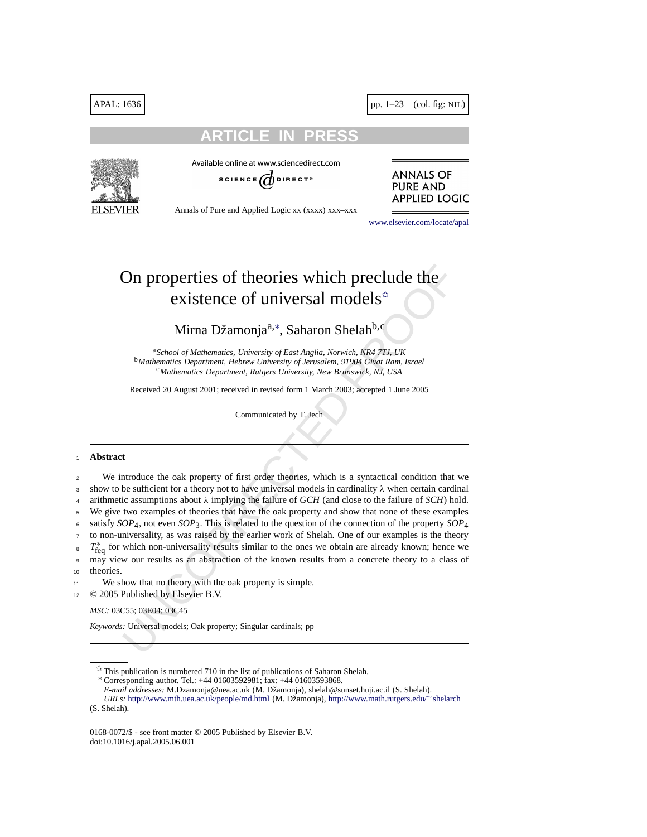APAL: 1636 | pp. 1–23 (col. fig: NIL)



# **ARTICLE IN PRESS**



Available online at www.sciencedirect.com



**ANNALS OF PURE AND APPLIED LOGIC** 

Annals of Pure and Applied Logic xx (xxxx) xxx–xxx

[www.elsevier.com/locate/apal](http://www.elsevier.com/locate/apal)

# On properties of theories which preclude the existence of universal models<sup> $\dot{\alpha}$ </sup>

Mirna Džamonja<sup>a,∗</sup>, Saharon Shelah<sup>b,¢</sup>

<sup>a</sup> School of Mathematics, University of East Anglia, Norwich, NR4 7TJ, UK<br><sup>b</sup>Mathematics Department, Hebrew University of Jerusalem, 91904 Givat Ram, Israel<br><sup>C</sup>Mathematics Department, Rutgers University, New Brunswick, NJ

Received 20 August 2001; received in revised form 1 March 2003; accepted 1 June 2005

Communicated by T. Jech

#### <sup>1</sup> **Abstract**

On properties of theories which preclude the<br>existence of universal models<sup>3</sup><br>Mirna Džamonja<sup>a,\*</sup>, Saharon Shelah<sup>b,c</sup><br><sup>3</sup>*School of Mathematics, University of East Anglia, Norvich, NR4 7711, UK<br><sup>3</sup><i>Mathematics Department*  We introduce the oak property of first order theories, which is a syntactical condition that we s show to be sufficient for a theory not to have universal models in cardinality  $\lambda$  when certain cardinal 4 arithmetic assumptions about  $λ$  implying the failure of  $GCH$  (and close to the failure of  $SCH$ ) hold. We give two examples of theories that have the oak property and show that none of these examples satisfy *SOP*4, not even *SOP*3. This is related to the question of the connection of the property *SOP*4 to non-universality, as was raised by the earlier work of Shelah. One of our examples is the theory  $T_{\text{feq}}^*$  for which non-universality results similar to the ones we obtain are already known; hence we may view our results as an abstraction of the known results from a concrete theory to a class of theories. We show that no theory with the oak property is simple.

<sup>12</sup> © 2005 Published by Elsevier B.V.

*MSC:* 03C55; 03E04; 03C45

*Keywords:* Universal models; Oak property; Singular cardinals; pp

*E-mail addresses:* M.Dzamonja@uea.ac.uk (M. Džamonja), shelah@sunset.huji.ac.il (S. Shelah).

0168-0072/\$ - see front matter © 2005 Published by Elsevier B.V. doi:10.1016/j.apal.2005.06.001

<span id="page-0-0"></span><sup>✩</sup> This publication is numbered 710 in the list of publications of Saharon Shelah. <sup>∗</sup> Corresponding author. Tel.: +44 01603592981; fax: +44 01603593868.

<span id="page-0-1"></span>*URLs:* <http://www.mth.uea.ac.uk/people/md.html> (M. Džamonja), [http://www.math.rutgers.edu/](http://www.math.rutgers.edu/~shelarch)∼shelarch (S. Shelah).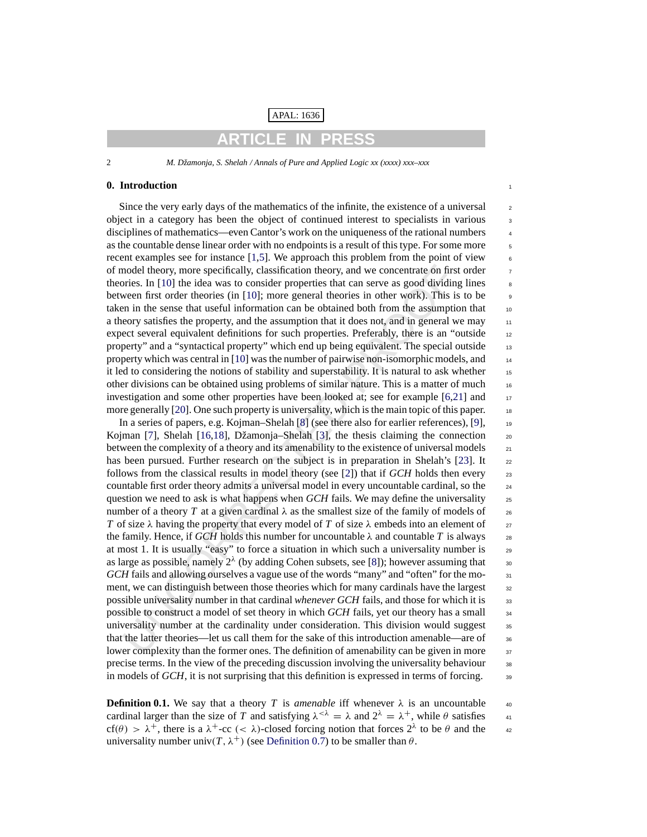

2 *M. Džamonja, S. Shelah / Annals of Pure and Applied Logic xx (xxxx) xxx–xxx*

#### **0. Introduction**

Since the very early days of the mathematics of the infinite, the existence of a universal  $\frac{2}{3}$ object in a category has been the object of continued interest to specialists in various 3 disciplines of mathematics—even Cantor's work on the uniqueness of the rational numbers 4 as the countable dense linear order with no endpoints is a result of this type. For some more  $\frac{5}{5}$ recent examples see for instance [\[1](#page-21-0)[,5](#page-22-0)]. We approach this problem from the point of view  $\frac{6}{6}$ of model theory, more specifically, classification theory, and we concentrate on first order <sup>7</sup> theories. In  $[10]$  the idea was to consider properties that can serve as good dividing lines between first order theories (in [10]; more general theories in other work). This is to be taken in the sense that useful information can be obtained both from the assumption that  $\frac{10}{10}$ a theory satisfies the property, and the assumption that it does not, and in general we may 11 expect several equivalent definitions for such properties. Preferably, there is an "outside  $12$ property" and a "syntactical property" which end up being equivalent. The special outside 13 property which was central in [10] was the number of pairwise non-isomorphic models, and <sup>14</sup> it led to considering the notions of stability and superstability. It is natural to ask whether <sup>15</sup> other divisions can be obtained using problems of similar nature. This is a matter of much <sup>16</sup> investigation and some other properties have been looked at; see for example  $[6,21]$  $[6,21]$  and  $17$ more generally [20]. One such property is universality, which is the main topic of this paper.  $\frac{1}{18}$ 

model theory, more specifically, classification theory, and we concentrate on firstness. In [10] the idea was to consider properties that can serve as good dividim<br>reven first order theories of to consider properties that In a series of papers, e.g. Kojman–Shelah [8] (see there also for earlier references), [\[9\]](#page-22-6), <sup>19</sup> Kojman [7], Shelah [16,18], Džamonja–Shelah [3], the thesis claiming the connection  $\infty$ between the complexity of a theory and its amenability to the existence of universal models <sub>21</sub> has been pursued. Further research on the subject is in preparation in Shelah's [\[23\]](#page-22-11). It 22 follows from the classical results in model theory (see [2]) that if *GCH* holds then every 23 countable first order theory admits a universal model in every uncountable cardinal, so the <sup>24</sup> question we need to ask is what happens when *GCH* fails. We may define the universality  $_{25}$ number of a theory *T* at a given cardinal  $\lambda$  as the smallest size of the family of models of  $\alpha$ *T* of size  $\lambda$  having the property that every model of *T* of size  $\lambda$  embeds into an element of  $\alpha$ the family. Hence, if *GCH* holds this number for uncountable  $\lambda$  and countable *T* is always 28 at most 1. It is usually "easy" to force a situation in which such a universality number is 29 as large as possible, namely  $2^{\lambda}$  (by adding Cohen subsets, see [8]); however assuming that  $\infty$ *GCH* fails and allowing ourselves a vague use of the words "many" and "often" for the moment, we can distinguish between those theories which for many cardinals have the largest  $32$ possible universality number in that cardinal *whenever GCH* fails, and those for which it is <sup>33</sup> possible to construct a model of set theory in which *GCH* fails, yet our theory has a small <sup>34</sup> universality number at the cardinality under consideration. This division would suggest  $35$ that the latter theories—let us call them for the sake of this introduction amenable—are of <sub>36</sub> lower complexity than the former ones. The definition of amenability can be given in more  $\frac{37}{2}$ precise terms. In the view of the preceding discussion involving the universality behaviour <sup>38</sup> in models of *GCH*, it is not surprising that this definition is expressed in terms of forcing. <sup>39</sup>

**Definition 0.1.** We say that a theory *T* is *amenable* iff whenever  $\lambda$  is an uncountable  $\alpha$ cardinal larger than the size of *T* and satisfying  $\lambda^{<\lambda} = \lambda$  and  $2^{\lambda} = \lambda^+$ , while  $\theta$  satisfies 41  $cf(\theta) > \lambda^+$ , there is a  $\lambda^+$ -cc (<  $\lambda$ )-closed forcing notion that forces  $2^{\lambda}$  to be  $\theta$  and the 42 universality number univ(*T*,  $\lambda^{+}$ ) (see [Definition 0.7\)](#page-4-0) to be smaller than  $\theta$ .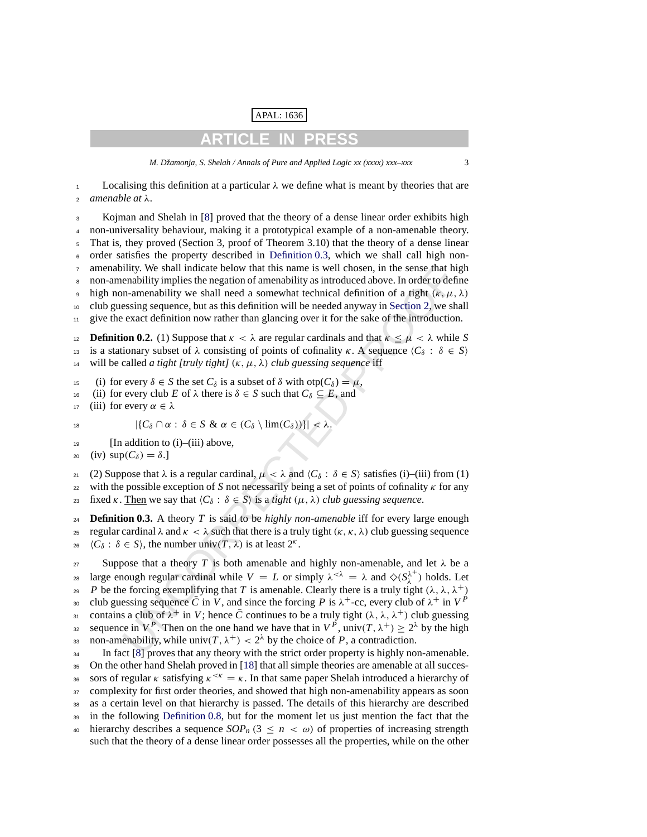# **ARTICLE IN PRESS**

*M. Džamonja, S. Shelah / Annals of Pure and Applied Logic xx (xxxx) xxx–xxx* 3

Localising this definition at a particular  $\lambda$  we define what is meant by theories that are <sup>2</sup> *amenable at* λ.

 Kojman and Shelah in [\[8\]](#page-22-5) proved that the theory of a dense linear order exhibits high non-universality behaviour, making it a prototypical example of a non-amenable theory. That is, they proved (Section 3, proof of Theorem 3.10) that the theory of a dense linear order satisfies the property described in [Definition 0.3,](#page-2-0) which we shall call high non- amenability. We shall indicate below that this name is well chosen, in the sense that high non-amenability implies the negation of amenability as introduced above. In order to define  $\theta$  high non-amenability we shall need a somewhat technical definition of a tight (κ,  $\mu$ , λ) club guessing sequence, but as this definition will be needed anyway in Section 2, we shall give the exact definition now rather than glancing over it for the sake of the introduction.

<span id="page-2-1"></span>12 **Definition 0.2.** (1) Suppose that  $\kappa < \lambda$  are regular cardinals and that  $\kappa \leq \mu < \lambda$  while *S* 13 is a stationary subset of  $\lambda$  consisting of points of cofinality  $\kappa$ . A sequence  $\langle C_\delta : \delta \in S \rangle$ <sup>14</sup> will be called *a tight [truly tight]* (κ, µ, λ) *club guessing sequence* iff

15 (i) for every  $\delta \in S$  the set  $C_{\delta}$  is a subset of  $\delta$  with otp $(C_{\delta}) = \mu$ ,

- 16 (ii) for every club *E* of  $\lambda$  there is  $\delta \in S$  such that  $C_{\delta} \subseteq E$ , and
- 17 (iii) for every  $\alpha \in \lambda$

$$
|\{C_\delta\cap\alpha:\,\delta\in S\,\,\&\,\,\alpha\in (C_\delta\setminus\lim(C_\delta))\}|<\lambda.
$$

19 [In addition to  $(i)$ – $(iii)$  above,

20 (iv)  $\sup(C_\delta) = \delta$ .]

21 (2) Suppose that λ is a regular cardinal,  $\mu$  < λ and  $\langle C_\delta : \delta \in S \rangle$  satisfies (i)–(iii) from (1) 22 with the possible exception of *S* not necessarily being a set of points of cofinality  $\kappa$  for any  $23$  fixed κ. Then we say that *(C<sub>δ</sub>* : δ ∈ *S*) is a *tight* (μ, λ) *club guessing sequence*.

<span id="page-2-0"></span><sup>24</sup> **Definition 0.3.** A theory *T* is said to be *highly non-amenable* iff for every large enough 25 regular cardinal  $\lambda$  and  $\kappa < \lambda$  such that there is a truly tight (κ, κ, λ) club guessing sequence  $\langle C_{\delta} : \delta \in S \rangle$ , the number univ(*T*, λ) is at least 2<sup>*κ*</sup>.

bility. We shall indicate below that this name is well chosen, in the sense that his<br>nearbility implies the negation of amenability as introduced above. In order to define<br>n-amenability we shall need a somewhat technica 27 Suppose that a theory *T* is both amenable and highly non-amenable, and let  $\lambda$  be a large enough regular cardinal while  $V = L$  or simply  $\lambda^{<\lambda} = \lambda$  and  $\Diamond (S^{\lambda^+}_{\lambda})$  holds. Let *P* be the forcing exemplifying that *T* is amenable. Clearly there is a truly tight  $(\lambda, \lambda, \lambda^+)$ so club guessing sequence  $\overline{C}$  in *V*, and since the forcing *P* is  $\lambda^+$ -cc, every club of  $\lambda^+$  in  $V^P$ contains a club of  $\lambda^+$  in *V*; hence  $\overline{C}$  continues to be a truly tight  $(\lambda, \lambda, \lambda^+)$  club guessing sequence in  $V^P$ . Then on the one hand we have that in  $V^P$ , univ(*T*,  $\lambda^+$ )  $\geq 2^{\lambda}$  by the high non-amenability, while univ $(T, \lambda^+) < 2^{\lambda}$  by the choice of *P*, a contradiction.

<sup>34</sup> In fact [8] proves that any theory with the strict order property is highly non-amenable. <sup>35</sup> On the other hand Shelah proved in [\[18\]](#page-22-9) that all simple theories are amenable at all successors of regular  $\kappa$  satisfying  $\kappa^{< \kappa} = \kappa$ . In that same paper Shelah introduced a hierarchy of 37 complexity for first order theories, and showed that high non-amenability appears as soon <sup>38</sup> as a certain level on that hierarchy is passed. The details of this hierarchy are described <sup>39</sup> in the following [Definition 0.8,](#page-4-1) but for the moment let us just mention the fact that the 40 hierarchy describes a sequence  $SOP_n$  ( $3 \le n < \omega$ ) of properties of increasing strength such that the theory of a dense linear order possesses all the properties, while on the other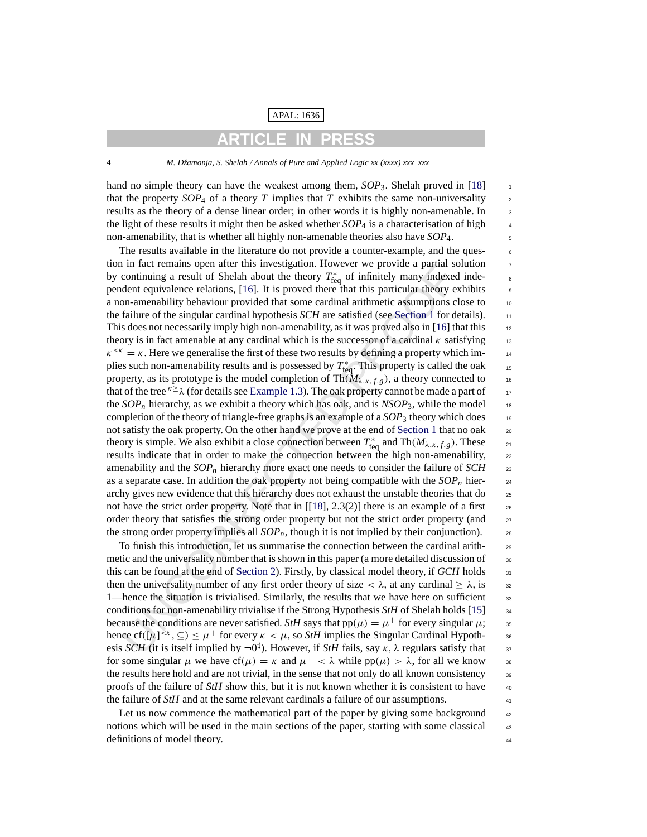### **ARTICLE IN PRESS**

#### 4 *M. Džamonja, S. Shelah / Annals of Pure and Applied Logic xx (xxxx) xxx–xxx*

hand no simple theory can have the weakest among them,  $SOP_3$ . Shelah proved in [\[18](#page-22-9)]  $\rightarrow$ that the property  $SOP_4$  of a theory *T* implies that *T* exhibits the same non-universality 2 results as the theory of a dense linear order; in other words it is highly non-amenable. In 3 the light of these results it might then be asked whether  $SOP_4$  is a characterisation of high  $44$ non-amenability, that is whether all highly non-amenable theories also have *SOP*<sub>4</sub>.

In the tendmin open unter unis investigation). However we provide a pantial mini-act entants open uniter unis investigation. The section of the singular continuing a result of Shelah about the theory  $T_{\rm eq}^*$  of infinit The results available in the literature do not provide a counter-example, and the question in fact remains open after this investigation. However we provide a partial solution  $\overline{7}$ by continuing a result of Shelah about the theory  $T_{\text{feq}}^*$  of infinitely many indexed independent equivalence relations,  $[16]$ . It is proved there that this particular theory exhibits  $\frac{9}{9}$ a non-amenability behaviour provided that some cardinal arithmetic assumptions close to  $\frac{10}{10}$ the failure of the singular cardinal hypothesis *SCH* are satisfied (see Section 1 for details). This does not necessarily imply high non-amenability, as it was proved also in [16] that this  $\frac{12}{10}$ theory is in fact amenable at any cardinal which is the successor of a cardinal  $\kappa$  satisfying  $\frac{1}{3}$  $\kappa^{< K} = \kappa$ . Here we generalise the first of these two results by defining a property which implies such non-amenability results and is possessed by  $T_{\text{feq}}^*$ . This property is called the oak property, as its prototype is the model completion of Th $(M_{\lambda,\kappa,f,g})$ , a theory connected to that of the tree <sup> $\kappa \geq \lambda$ </sup> (for details see Example 1.3). The oak property cannot be made a part of  $\eta$ the  $SOP_n$  hierarchy, as we exhibit a theory which has oak, and is  $NSOP_3$ , while the model <sup>18</sup> completion of the theory of triangle-free graphs is an example of a  $SOP<sub>3</sub>$  theory which does not satisfy the oak property. On the other hand we prove at the end of Section 1 that no oak 20 theory is simple. We also exhibit a close connection between  $T_{\text{feq}}^*$  and  $\text{Th}(M_{\lambda,\kappa,f,g})$ . These 21 results indicate that in order to make the connection between the high non-amenability, 22 amenability and the  $SOP_n$  hierarchy more exact one needs to consider the failure of  $SCH$  23 as a separate case. In addition the oak property not being compatible with the  $SOP_n$  hierarchy gives new evidence that this hierarchy does not exhaust the unstable theories that do 25 not have the strict order property. Note that in [[18], 2.3(2)] there is an example of a first  $\frac{26}{26}$ order theory that satisfies the strong order property but not the strict order property (and 27 the strong order property implies all  $SOP_n$ , though it is not implied by their conjunction). 28

To finish this introduction, let us summarise the connection between the cardinal arith- <sup>29</sup> metic and the universality number that is shown in this paper (a more detailed discussion of  $\frac{30}{20}$ this can be found at the end of Section 2). Firstly, by classical model theory, if *GCH* holds <sup>31</sup> then the universality number of any first order theory of size  $\langle \lambda \rangle$ , at any cardinal  $\geq \lambda$ , is  $\frac{32}{2}$ 1—hence the situation is trivialised. Similarly, the results that we have here on sufficient  $\frac{33}{2}$ conditions for non-amenability trivialise if the Strong Hypothesis *StH* of Shelah holds [\[15](#page-22-13)] <sup>34</sup> because the conditions are never satisfied. *StH* says that  $pp(\mu) = \mu^+$  for every singular  $\mu$ ; <sup>35</sup> hence  $cf([\mu]^{< \kappa}, \subseteq) \leq \mu^+$  for every  $\kappa < \mu$ , so *StH* implies the Singular Cardinal Hypothesis *SCH* (it is itself implied by  $\neg$ 0<sup> $\sharp$ </sup>). However, if *StH* fails, say  $\kappa$ ,  $\lambda$  regulars satisfy that <sup>37</sup> for some singular  $\mu$  we have  $cf(\mu) = \kappa$  and  $\mu^+ < \lambda$  while  $pp(\mu) > \lambda$ , for all we know s the results here hold and are not trivial, in the sense that not only do all known consistency  $\frac{39}{20}$ proofs of the failure of *StH* show this, but it is not known whether it is consistent to have <sup>40</sup> the failure of *StH* and at the same relevant cardinals a failure of our assumptions.

Let us now commence the mathematical part of the paper by giving some background  $42$ notions which will be used in the main sections of the paper, starting with some classical 43 definitions of model theory.  $\frac{44}{40}$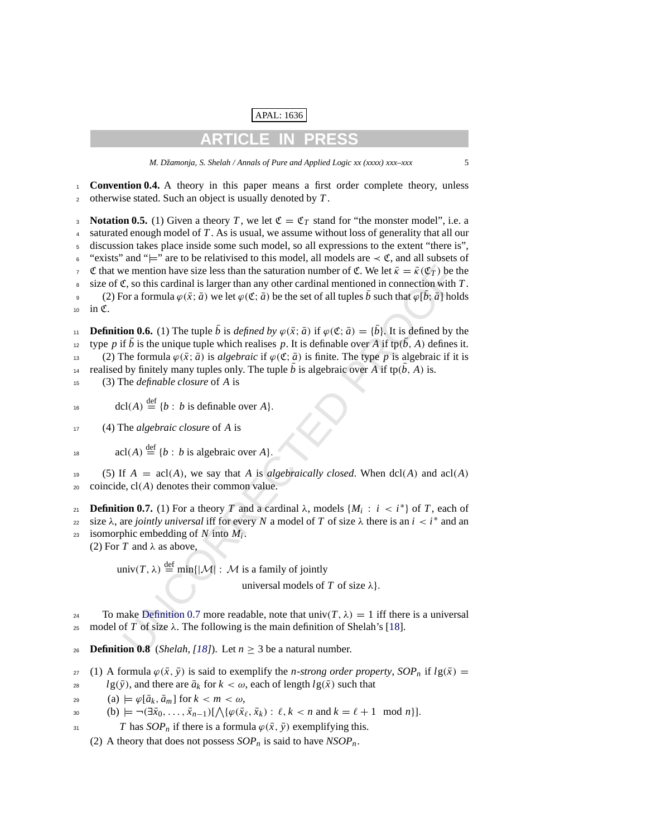# **ARTICI**

*M. Džamonja, S. Shelah / Annals of Pure and Applied Logic xx (xxxx) xxx–xxx* 5

<sup>1</sup> **Convention 0.4.** A theory in this paper means a first order complete theory, unless <sup>2</sup> otherwise stated. Such an object is usually denoted by *T* .

ve mention have size less than the saturation number of **c**. We let  $\vec{k} = \vec{k}(\mathfrak{C}_T)$  be<br>  $\vec{k}$ , so this cardinal is larger than any other cardinal mentioned in connection with<br>
or a formula  $\varphi(\vec{x}; \vec{a})$  we let  $\varphi$ 3 **Notation 0.5.** (1) Given a theory *T*, we let  $C = C_T$  stand for "the monster model", i.e. a <sup>4</sup> saturated enough model of *T* . As is usual, we assume without loss of generality that all our <sup>5</sup> discussion takes place inside some such model, so all expressions to the extent "there is",  $\epsilon$  "exists" and " $\models$ " are to be relativised to this model, all models are  $\prec$  **C**, and all subsets of 7 C that we mention have size less than the saturation number of C. We let  $\bar{k} = \bar{k}(\mathfrak{C}_T)$  be the  $\epsilon$  size of C, so this cardinal is larger than any other cardinal mentioned in connection with *T*.  $\theta$  (2) For a formula  $\varphi(\bar{x}; \bar{a})$  we let  $\varphi$  (ξ;  $\bar{a}$ ) be the set of all tuples  $\bar{b}$  such that  $\varphi[\bar{b}; \bar{a}]$  holds <sup>10</sup> in C.

**Definition 0.6.** (1) The tuple  $\bar{b}$  is *defined by*  $\varphi(\bar{x}; \bar{a})$  if  $\varphi(\mathfrak{C}; \bar{a}) = {\bar{b}}$ . It is defined by the type *p* if  $\bar{b}$  is the unique tuple which realises *p*. It is definable over *A* if tp( $\bar{b}$ , *A*) defines it. 13 (2) The formula  $\varphi(\bar{x}; \bar{a})$  is *algebraic* if  $\varphi(\mathfrak{C}; \bar{a})$  is finite. The type *p* is algebraic if it is realised by finitely many tuples only. The tuple  $\bar{b}$  is algebraic over *A* if tp( $\bar{b}$ , *A*) is.

<sup>15</sup> (3) The *definable closure* of *A* is

 $dcl(A) \stackrel{\text{def}}{=} \{b : b \text{ is definable over } A\}.$ 

<sup>17</sup> (4) The *algebraic closure* of *A* is

acl(*A*)  $\stackrel{\text{def}}{=} \{b : b \text{ is algebraic over } A\}.$ 

19 (5) If  $A = \text{acl}(A)$ , we say that *A* is *algebraically closed*. When dcl(*A*) and acl(*A*)  $20$  coincide,  $cl(A)$  denotes their common value.

<span id="page-4-0"></span>**Definition 0.7.** (1) For a theory *T* and a cardinal  $\lambda$ , models  $\{M_i : i < i^*\}$  of *T*, each of

size λ, are *jointly universal* iff for every *N* a model of *T* of size λ there is an  $i < i^*$  and an isomorphic embedding of  $N$  into  $M_i$ .

(2) For *T* and  $\lambda$  as above,

univ(*T*,  $\lambda$ )  $\stackrel{\text{def}}{=} \min\{|\mathcal{M}| : \mathcal{M} \text{ is a family of jointly }\}$ universal models of *T* of size  $\lambda$ .

<span id="page-4-1"></span>24 To make Definition 0.7 more readable, note that univ(*T*,  $\lambda$ ) = 1 iff there is a universal 25 model of *T* of size  $\lambda$ . The following is the main definition of Shelah's [18].

26 **Definition 0.8** (*Shelah, [18]*). Let  $n \geq 3$  be a natural number.

27 (1) A formula  $\varphi(\bar{x}, \bar{y})$  is said to exemplify the *n*-*strong order property*, *SOP<sub>n</sub>* if  $lg(\bar{x})$  =

 $log(\bar{y})$ , and there are  $\bar{a}_k$  for  $k < \omega$ , each of length  $lg(\bar{x})$  such that

29 (a)  $\models \varphi[\bar{a}_k, \bar{a}_m]$  for  $k < m < \omega$ ,

 $\mathbf{a}_0$  (b)  $\models \neg(\exists \bar{x}_0, \dots, \bar{x}_{n-1})[\bigwedge \{\varphi(\bar{x}_\ell, \bar{x}_k) : \ell, k < n \text{ and } k = \ell + 1 \mod n\}].$ 

31 *T* has  $SOP_n$  if there is a formula  $\varphi(\bar{x}, \bar{y})$  exemplifying this.

(2) A theory that does not possess  $SOP_n$  is said to have  $NSOP_n$ .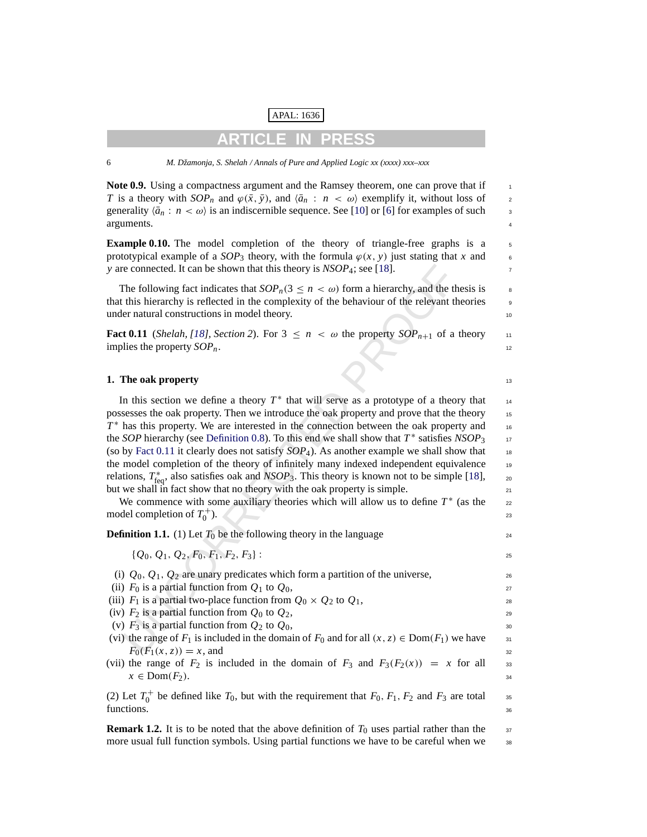## ARTICLE IN

#### 6 *M. Džamonja, S. Shelah / Annals of Pure and Applied Logic xx (xxxx) xxx–xxx*

**Note 0.9.** Using a compactness argument and the Ramsey theorem, one can prove that if *T* is a theory with  $SOP_n$  and  $\varphi(\bar{x}, \bar{y})$ , and  $\langle \bar{a}_n : n \langle \omega \rangle$  exemplify it, without loss of 2 generality  $\langle \bar{a}_n : n \langle \omega \rangle$  is an indiscernible sequence. See [\[10\]](#page-22-1) or [\[6\]](#page-22-2) for examples of such 3 arguments.

**Example 0.10.** The model completion of the theory of triangle-free graphs is a prototypical example of a *SOP*<sub>3</sub> theory, with the formula  $\varphi(x, y)$  just stating that *x* and 6 *y* are connected. It can be shown that this theory is *NSOP*<sub>4</sub>; see [18].

The following fact indicates that  $SOP_n(3 \le n \le \omega)$  form a hierarchy, and the thesis is that this hierarchy is reflected in the complexity of the behaviour of the relevant theories 9 under natural constructions in model theory.

<span id="page-5-1"></span>**Fact 0.11** (*Shelah, [18], Section 2*). For  $3 \le n < \omega$  the property  $SOP_{n+1}$  of a theory 11 implies the property *SOP<sub>n</sub>*.

#### <span id="page-5-0"></span>**1. The oak property** the same of the same of the same of the same of the same of the same of the same of the same of the same of the same of the same of the same of the same of the same of the same of the same of the same

re connected. It can be shown that this theory is  $NSOP_4$ ; see [18].<br>The following fact indicates that  $SOP_n(3 \le n < \omega)$  form a hierarchy, and the the this hierarchy is reflected in the complexity of the behaviour of the rele In this section we define a theory  $T^*$  that will serve as a prototype of a theory that  $\frac{1}{4}$ possesses the oak property. Then we introduce the oak property and prove that the theory <sup>15</sup>  $T^*$  has this property. We are interested in the connection between the oak property and 16 the *SOP* hierarchy (see Definition 0.8). To this end we shall show that  $T^*$  satisfies *NSOP*<sup>3</sup><sup>17</sup> (so by Fact 0.11 it clearly does not satisfy  $SOP_4$ ). As another example we shall show that  $\frac{1}{8}$ the model completion of the theory of infinitely many indexed independent equivalence 19 relations,  $T_{\text{feq}}^*$ , also satisfies oak and *NSOP*<sub>3</sub>. This theory is known not to be simple [\[18\]](#page-22-9), <sub>20</sub> but we shall in fact show that no theory with the oak property is simple.  $21$ 

We commence with some auxiliary theories which will allow us to define  $T^*$  (as the 22 model completion of  $T_0^+$ ).  $\binom{+}{0}$ . 23

**Definition 1.1.** (1) Let  $T_0$  be the following theory in the language  $\frac{24}{4}$ 

$$
\{Q_0, Q_1, Q_2, F_0, F_1, F_2, F_3\}:
$$

(i)  $Q_0$ ,  $Q_1$ ,  $Q_2$  are unary predicates which form a partition of the universe,

(ii)  $F_0$  is a partial function from  $Q_1$  to  $Q_0$ , 27

- (iii)  $F_1$  is a partial two-place function from  $Q_0 \times Q_2$  to  $Q_1$ , 28
- (iv)  $F_2$  is a partial function from  $Q_0$  to  $Q_2$ , 29
- (v)  $F_3$  is a partial function from  $Q_2$  to  $Q_0$ ,  $\hspace{1cm}$  30

(vi) the range of  $F_1$  is included in the domain of  $F_0$  and for all  $(x, z) \in Dom(F_1)$  we have  $\Box$ <sup>31</sup>  $F_0(F_1(x, z)) = x$ , and 32

(vii) the range of  $F_2$  is included in the domain of  $F_3$  and  $F_3(F_2(x)) = x$  for all 33  $x \in \text{Dom}(F_2)$ . 34

(2) Let  $T_0^+$  be defined like  $T_0$ , but with the requirement that  $F_0$ ,  $F_1$ ,  $F_2$  and  $F_3$  are total 35 functions. The set of the set of the set of the set of the set of the set of the set of the set of the set of the set of the set of the set of the set of the set of the set of the set of the set of the set of the set of th

**Remark 1.2.** It is to be noted that the above definition of  $T_0$  uses partial rather than the  $\frac{37}{20}$ more usual full function symbols. Using partial functions we have to be careful when we  $\frac{38}{100}$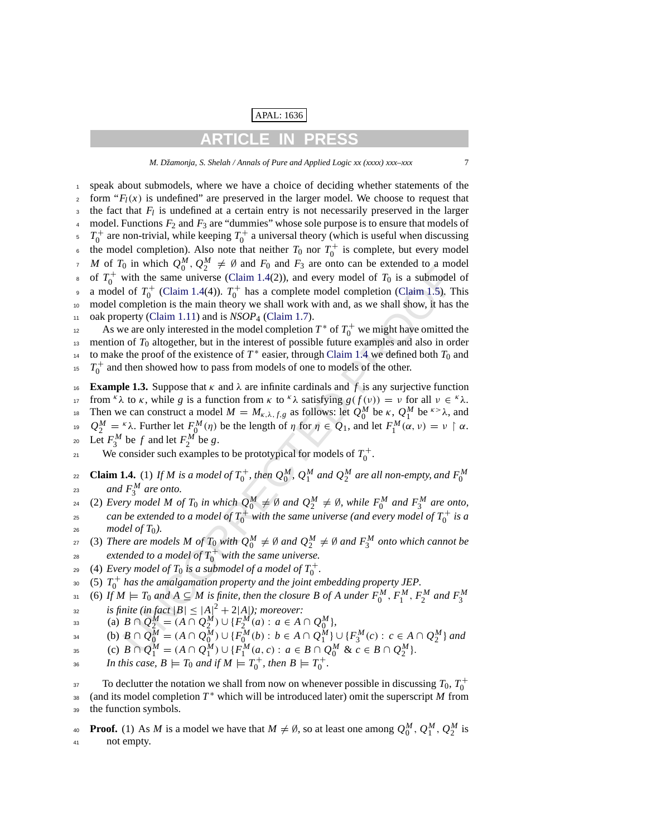### **ARTIC**

<sup>1</sup> speak about submodels, where we have a choice of deciding whether statements of the

on where  $Q_0^T, Q_2^T \neq y$  and  $P_0$  and  $P_0$  and  $P_3$  are onto can be extended to a mood<br>big the same universe (Claim 1.4(2)), and every model of  $T_0$  is a submodel<br>of  $T_0^+$  (Claim 1.4(4)).  $T_0^+$  has a complete mo  $2 \text{ form } \text{``}F_l(x)$  is undefined" are preserved in the larger model. We choose to request that  $\sigma$  the fact that  $F_l$  is undefined at a certain entry is not necessarily preserved in the larger model. Functions  $F_2$  and  $F_3$  are "dummies" whose sole purpose is to ensure that models of  $\sigma$   $T_0^+$  are non-trivial, while keeping  $T_0^+$  a universal theory (which is useful when discussing  $\epsilon$  the model completion). Also note that neither  $T_0$  nor  $T_0^+$  is complete, but every model *M* of  $T_0$  in which  $Q_0^M$ ,  $Q_2^M \neq \emptyset$  and  $F_0$  and  $F_3$  are onto can be extended to a model  $\sigma$  of  $T_0^+$  with the same universe (Claim 1.4(2)), and every model of  $T_0$  is a submodel of a model of  $T_0^+$  (Claim 1.4(4)).  $T_0^+$  has a complete model completion (Claim 1.5). This <sup>10</sup> model completion is the main theory we shall work with and, as we shall show, it has the <sup>11</sup> oak property (Claim 1.11) and is *NSOP*<sup>4</sup> (Claim 1.7). As we are only interested in the model completion  $T^*$  of  $T_0^+$  we might have omitted the <sup>13</sup> mention of *T*<sup>0</sup> altogether, but in the interest of possible future examples and also in order to make the proof of the existence of  $T^*$  easier, through Claim 1.4 we defined both  $T_0$  and <sup>15</sup>  $T_0^+$  and then showed how to pass from models of one to models of the other. **Example 1.3.** Suppose that κ and λ are infinite cardinals and f is any surjective function *τ* from <sup>κ</sup>λ to κ, while *g* is a function from κ to <sup>κ</sup>λ satisfying  $g(f(v)) = v$  for all  $v \in K$ . Then we can construct a model  $M = M_{\kappa,\lambda,f,g}$  as follows: let  $Q_0^M$  be  $\kappa, Q_1^M$  be  $\kappa > \lambda$ , and *Q*<sup>M</sup> = <sup>κ</sup>λ. Further let  $F_0^M(\eta)$  be the length of  $\eta$  for  $\eta \in Q_1$ , and let  $F_1^M(\alpha, \nu) = \nu \restriction \alpha$ . 20 Let  $F_3^M$  be *f* and let  $F_2^M$  be *g*.

<span id="page-6-0"></span> $W$ <sup>21</sup> We consider such examples to be prototypical for models of  $T_0^+$ .

- <span id="page-6-1"></span>**Claim 1.4.** (1) If M is a model of  $T_0^+$ , then  $Q_0^M$ ,  $Q_1^M$  and  $Q_2^M$  are all non-empty, and  $F_0^M$  $\alpha$  *and*  $F_3^M$  *are onto.*
- 24 (2) Every model M of T<sub>0</sub> in which  $Q_0^M \neq \emptyset$  and  $Q_2^M \neq \emptyset$ , while  $F_0^M$  and  $F_3^M$  are onto,  $\alpha$  *can be extended to a model of*  $T_0^+$  *with the same universe (and every model of*  $T_0^+$  *is a*  $_{26}$  *model of T*<sub>0</sub>*).*
- $_2$  (3) There are models M of  $T_0$  with  $Q_0^M \neq \emptyset$  and  $Q_2^M \neq \emptyset$  and  $F_3^M$  onto which cannot be  $e^{i\omega}$  *extended to a model of*  $T_0^+$  *with the same universe.*
- <sup>29</sup> (4) Every model of  $T_0$  is a submodel of a model of  $T_0^+$ .
- $_{30}$  (5)  $T_0^+$  has the amalgamation property and the joint embedding property JEP.
- 31 (6) If  $M \models T_0$  and  $A \subseteq M$  is finite, then the closure B of A under  $F_0^M$ ,  $F_1^M$ ,  $F_2^M$  and  $F_3^M$ *is finite (in fact*  $|B| \leq |A|^2 + 2|A|$ *); moreover:*
- $($ a)  $B \cap Q_2^M = (A \cap Q_2^M) \cup \{F_2^M(a) : a \in A \cap Q_0^M\},\$

$$
B \cap Q_0^M = (A \cap Q_0^M) \cup \{F_0^M(b) : b \in A \cap Q_1^M\} \cup \{F_3^M(c) : c \in A \cap Q_2^M\} \text{ and}
$$

$$
s_{5} \qquad \text{(c) } B \cap Q_{1}^{M} = (A \cap Q_{1}^{M}) \cup \{F_{1}^{M}(a, c): a \in B \cap Q_{0}^{M} \& c \in B \cap Q_{2}^{M}\}.
$$

$$
36 \t\t In this case, B \models T_0 \text{ and if } M \models T_0^+, \text{ then } B \models T_0^+.
$$

 $T_3$  To declutter the notation we shall from now on whenever possible in discussing  $T_0$ ,  $T_0^+$ <sup>38</sup> (and its model completion  $T^*$  which will be introduced later) omit the superscript *M* from <sup>39</sup> the function symbols.

**Proof.** (1) As *M* is a model we have that  $M \neq \emptyset$ , so at least one among  $Q_0^M$ ,  $Q_1^M$ ,  $Q_2^M$  is <sup>41</sup> not empty.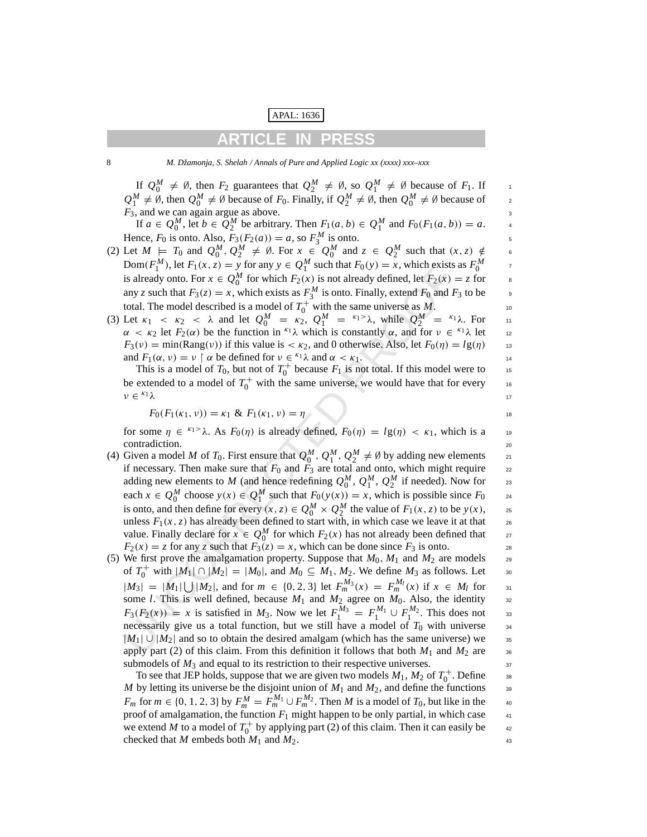### **ARTICLE IN PRESS**

#### 8 *M. Džamonja, S. Shelah / Annals of Pure and Applied Logic xx (xxxx) xxx–xxx*

If  $Q_0^M \neq \emptyset$ , then  $F_2$  guarantees that  $Q_2^M \neq \emptyset$ , so  $Q_1^M \neq \emptyset$  because of  $F_1$ . If  $Q_1^M \neq \emptyset$ , then  $Q_0^M \neq \emptyset$  because of  $F_0$ . Finally, if  $Q_2^M \neq \emptyset$ , then  $Q_0^M \neq \emptyset$  because of 2  $F_3$ , and we can again argue as above.

If  $a \in Q_0^M$ , let  $b \in Q_2^M$  be arbitrary. Then  $F_1(a, b) \in Q_1^M$  and  $F_0(F_1(a, b)) = a$ . Hence,  $F_0$  is onto. Also,  $F_3(F_2(a)) = a$ , so  $F_3^M$  is onto.

- (2) Let  $M \models T_0$  and  $Q_0^M$ ,  $Q_2^M \neq \emptyset$ . For  $x \in Q_0^M$  and  $z \in Q_2^M$  such that  $(x, z) \notin \emptyset$ Dom $(F_1^M)$ , let  $F_1(x, z) = y$  for any  $y \in Q_1^M$  such that  $F_0(y) = x$ , which exists as  $F_0^M$ is already onto. For  $x \in Q_0^M$  for which  $F_2(x)$  is not already defined, let  $F_2(x) = z$  for 8 any *z* such that  $F_3(z) = x$ , which exists as  $F_3^M$  is onto. Finally, extend  $F_0$  and  $F_3$  to be total. The model described is a model of  $T_0^+$  with the same universe as *M*.
- (3) Let  $\kappa_1 < \kappa_2 < \lambda$  and let  $Q_0^M = \kappa_2$ ,  $Q_1^M = \kappa_1 > \lambda$ , while  $Q_2^M = \kappa_1 \lambda$ . For 11  $\alpha < \kappa_2$  let  $F_2(\alpha)$  be the function in <sup> $\kappa_1 \lambda$ </sup> which is constantly  $\alpha$ , and for  $\nu \in \kappa_1 \lambda$  let <sub>12</sub>  $F_3(v) = \min(\text{Rang}(v))$  if this value is  $\lt \kappa_2$ , and 0 otherwise. Also, let  $F_0(\eta) = lg(\eta)$  13 and  $F_1(\alpha, \nu) = \nu \restriction \alpha$  be defined for  $\nu \in {^{\kappa_1}\lambda}$  and  $\alpha < \kappa_1$ .

This is a model of  $T_0$ , but not of  $T_0^+$  because  $F_1$  is not total. If this model were to be extended to a model of  $T_0^+$  with the same universe, we would have that for every 16  $v \in {}^{k_1}\lambda$  17

$$
F_0(F_1(\kappa_1, \nu)) = \kappa_1 \& F_1(\kappa_1, \nu) = \eta
$$

for some  $\eta \in \kappa_1 > \lambda$ . As  $F_0(\eta)$  is already defined,  $F_0(\eta) = lg(\eta) < \kappa_1$ , which is a 19 contradiction. 20

- Dom( $F_1^*, \lambda(z) = y$  for any  $y \in Q_1^*$  such that  $F_0(y) = x$ , when easing the  $\lambda(z) = x$  of any  $z = 0$  of  $T_0^*$  with  $E_2(x)$  is not already defined, let  $F_2(x)$  any z such that  $F_3(z) = x$ , which exists as  $F_3^M$  is onto. Fi (4) Given a model *M* of *T*<sub>0</sub>. First ensure that  $Q_0^M$ ,  $Q_1^M$ ,  $Q_2^M \neq \emptyset$  by adding new elements 21 if necessary. Then make sure that  $F_0$  and  $F_3$  are total and onto, which might require 22 adding new elements to *M* (and hence redefining  $Q_0^M$ ,  $Q_1^M$ ,  $Q_2^M$  if needed). Now for 23 each  $x \in Q_0^M$  choose  $y(x) \in Q_1^M$  such that  $F_0(y(x)) = x$ , which is possible since  $F_0$  24 is onto, and then define for every  $(x, z) \in Q_0^M \times Q_2^M$  the value of  $F_1(x, z)$  to be  $y(x)$ , 25 unless  $F_1(x, z)$  has already been defined to start with, in which case we leave it at that 26 value. Finally declare for  $x \in Q_0^M$  for which  $F_2(x)$  has not already been defined that 27  $F_2(x) = z$  for any *z* such that  $F_3(z) = x$ , which can be done since  $F_3$  is onto.
- (5) We first prove the amalgamation property. Suppose that  $M_0$ ,  $M_1$  and  $M_2$  are models 29 of  $T_0^+$  with  $|M_1| \cap |M_2| = |M_0|$ , and  $M_0 \subseteq M_1, M_2$ . We define  $M_3$  as follows. Let so  $|M_3| = |M_1| \bigcup |M_2|$ , and for  $m \in \{0, 2, 3\}$  let  $F_m^{M_3}(x) = F_m^{M_l}(x)$  if  $x \in M_l$  for 31 some *l*. This is well defined, because  $M_1$  and  $M_2$  agree on  $M_0$ . Also, the identity 32  $F_3(F_2(x)) = x$  is satisfied in *M*<sub>3</sub>. Now we let  $F_1^{M_3} = F_1^{M_1} \cup F_1^{M_2}$ . This does not 33 necessarily give us a total function, but we still have a model of  $T_0$  with universe  $\frac{34}{4}$  $|M_1| \cup |M_2|$  and so to obtain the desired amalgam (which has the same universe) we <sup>35</sup> apply part (2) of this claim. From this definition it follows that both  $M_1$  and  $M_2$  are  $\overline{\phantom{a}}$  36 submodels of  $M_3$  and equal to its restriction to their respective universes.

To see that JEP holds, suppose that we are given two models  $M_1$ ,  $M_2$  of  $T_0^+$ . Define 38 *M* by letting its universe be the disjoint union of  $M_1$  and  $M_2$ , and define the functions 39 *F<sub>m</sub>* for  $m \in \{0, 1, 2, 3\}$  by  $F_m^M = F_m^{M_1} \cup F_m^{M_2}$ . Then *M* is a model of *T*<sub>0</sub>, but like in the 40 proof of amalgamation, the function  $F_1$  might happen to be only partial, in which case  $41$ we extend *M* to a model of  $T_0^+$  by applying part (2) of this claim. Then it can easily be  $\frac{42}{4}$ checked that *M* embeds both  $M_1$  and  $M_2$ .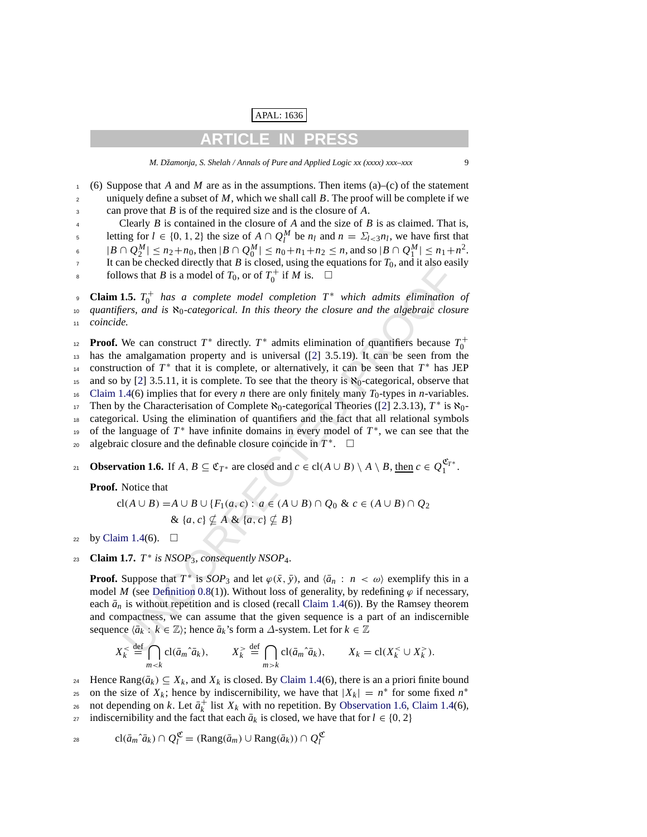$1$  (6) Suppose that *A* and *M* are as in the assumptions. Then items (a)–(c) of the statement <sup>2</sup> uniquely define a subset of *M*, which we shall call *B*. The proof will be complete if we <sup>3</sup> can prove that *B* is of the required size and is the closure of *A*.

<sup>4</sup> Clearly *B* is contained in the closure of *A* and the size of *B* is as claimed. That is, letting for  $l \in \{0, 1, 2\}$  the size of  $A \cap Q_l^M$  be  $n_l$  and  $n = \sum_{l \leq 3} n_l$ , we have first that  $\mathbb{E} \left[ |B \cap Q_2^M| \leq n_2 + n_0, \text{ then } |B \cap Q_0^M| \leq n_0 + n_1 + n_2 \leq n, \text{ and so } |B \cap Q_1^M| \leq n_1 + n^2.$  $\tau$  It can be checked directly that *B* is closed, using the equations for  $T_0$ , and it also easily follows that *B* is a model of  $T_0$ , or of  $T_0^+$  if *M* is.  $\Box$ 

<span id="page-8-0"></span>© **Claim 1.5.**  $T_0^+$  *has a complete model completion T*\* *which admits elimination of* <sup>10</sup> *quantifiers, and is* ℵ0*-categorical. In this theory the closure and the algebraic closure* <sup>11</sup> *coincide.*

and the check that and is based, using the equations for  $i_0$ , and it also eas<br>ows that B is a model of  $T_0$ , or of  $T_0^+$  if M is.  $\Box$ <br> **1.5.**  $T_0^+$  has a complete model completion  $T^*$  which admits elimination<br>
e **Proof.** We can construct  $T^*$  directly.  $T^*$  admits elimination of quantifiers because  $T_0^+$  $13$  has the amalgamation property and is universal ([2] 3.5.19). It can be seen from the <sup>14</sup> construction of  $T^*$  that it is complete, or alternatively, it can be seen that  $T^*$  has JEP <sup>15</sup> and so by [2] 3.5.11, it is complete. To see that the theory is  $\aleph_0$ -categorical, observe that <sup>16</sup> [Claim 1.4\(](#page-6-1)6) implies that for every *n* there are only finitely many  $T_0$ -types in *n*-variables. Then by the Characterisation of Complete <sub>N0</sub>-categorical Theories ([2] 2.3.13), *T*<sup>∗</sup> is N<sub>0</sub>-<sup>18</sup> categorical. Using the elimination of quantifiers and the fact that all relational symbols <sup>19</sup> of the language of  $T^*$  have infinite domains in every model of  $T^*$ , we can see that the algebraic closure and the definable closure coincide in  $T^*$ .  $\Box$ 

<span id="page-8-2"></span>**Observation 1.6.** If  $A, B \subseteq \mathfrak{C}_{T^*}$  are closed and  $c \in \text{cl}(A \cup B) \setminus A \setminus B$ , then  $c \in Q_1^{\mathfrak{C}_{T^*}}$ .

**Proof.** Notice that

$$
cl(A \cup B) = A \cup B \cup \{F_1(a, c) : a \in (A \cup B) \cap Q_0 \& c \in (A \cup B) \cap Q_2
$$
  
& 
$$
\{a, c\} \nsubseteq A \& \{a, c\} \nsubseteq B\}
$$

- 22 by [Claim 1](#page-6-1).4(6).  $\Box$
- <span id="page-8-1"></span>23 **Claim 1.7.** *T*<sup>∗</sup> *is NSOP*<sub>3</sub>*, consequently NSOP*<sub>4</sub>*.*

**Proof.** Suppose that  $T^*$  is  $SOP_3$  and let  $\varphi(\bar{x}, \bar{y})$ , and  $\langle \bar{a}_n : n < \omega \rangle$  exemplify this in a model *M* (see Definition 0.8(1)). Without loss of generality, by redefining  $\varphi$  if necessary, each  $\bar{a}_n$  is without repetition and is closed (recall Claim 1.4(6)). By the Ramsey theorem and compactness, we can assume that the given sequence is a part of an indiscernible sequence  $\langle \bar{a}_k : k \in \mathbb{Z} \rangle$ ; hence  $\bar{a}_k$ 's form a  $\Delta$ -system. Let for  $k \in \mathbb{Z}$ 

$$
X_k^{\leq} \stackrel{\text{def}}{=} \bigcap_{m < k} \text{cl}(\bar{a}_m \hat{a}_k), \qquad X_k^{\geq} \stackrel{\text{def}}{=} \bigcap_{m > k} \text{cl}(\bar{a}_m \hat{a}_k), \qquad X_k = \text{cl}(X_k^{\leq} \cup X_k^{\geq}).
$$

24 Hence Rang( $\bar{a}_k$ )  $\subseteq X_k$ , and  $X_k$  is closed. By [Claim 1.4\(](#page-6-1)6), there is an a priori finite bound

on the size of  $X_k$ ; hence by indiscernibility, we have that  $|X_k| = n^*$  for some fixed  $n^*$ 

<sup>26</sup> not depending on *k*. Let  $\bar{a}_k^+$  list  $X_k$  with no repetition. By [Observation 1.6,](#page-8-2) [Claim 1.4\(](#page-6-1)6),

27 indiscernibility and the fact that each  $\bar{a}_k$  is closed, we have that for  $l \in \{0, 2\}$ 

$$
\text{cl}(\bar{a}_m \hat{a}_k) \cap Q_l^{\mathfrak{C}} = (\text{Rang}(\bar{a}_m) \cup \text{Rang}(\bar{a}_k)) \cap Q_l^{\mathfrak{C}}
$$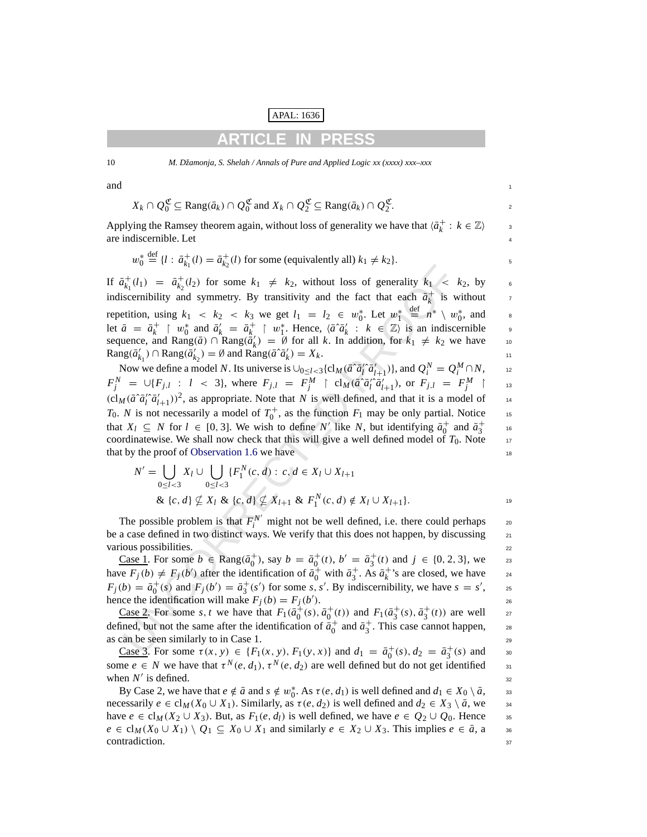# **ARTICLE IN PRESS**

10 *M. Džamonja, S. Shelah / Annals of Pure and Applied Logic xx (xxxx) xxx–xxx*

and 1.1 and 1.1 and 1.1 and 1.1 and 1.1 and 1.1 and 1.1 and 1.1 and 1.1 and 1.1 and 1.1 and 1.1 and 1.1 and 1.1

$$
X_k \cap Q_0^{\mathfrak{C}} \subseteq \text{Rang}(\bar{a}_k) \cap Q_0^{\mathfrak{C}} \text{ and } X_k \cap Q_2^{\mathfrak{C}} \subseteq \text{Rang}(\bar{a}_k) \cap Q_2^{\mathfrak{C}}.
$$

Applying the Ramsey theorem again, without loss of generality we have that  $\langle \bar{a}_k^+ : k \in \mathbb{Z} \rangle$ are indiscernible. Let 4

$$
w_0^* \stackrel{\text{def}}{=} \{l : \bar{a}_{k_1}^+(l) = \bar{a}_{k_2}^+(l) \text{ for some (equivalently all}) \ k_1 \neq k_2\}.
$$

If  $\bar{a}_{k_1}^+(l_1) = \bar{a}_{k_2}^+(l_2)$  for some  $k_1 \neq k_2$ , without loss of generality  $k_1 < k_2$ , by indiscernibility and symmetry. By transitivity and the fact that each  $\bar{a}_k^+$  is without repetition, using  $k_1 < k_2 < k_3$  we get  $l_1 = l_2 \in w_0^*$ . Let  $w_1^*$  $\stackrel{\text{def}}{=} n^* \setminus w_0^*$ , and 8 let  $\bar{a} = \bar{a}_k^+ \restriction w_0^*$  and  $\bar{a}_k' = \bar{a}_k^+ \restriction w_1^*$ . Hence,  $\langle \bar{a} \, \tilde{a}_k' : k \in \mathbb{Z} \rangle$  is an indiscernible 9 sequence, and Rang( $\vec{a}$ )  $\cap$  Rang( $\vec{a}'_k$ ) = Ø for all *k*. In addition, for  $k_1 \neq k_2$  we have  $\text{Rang}(\bar{a}_{k_1}') \cap \text{Rang}(\bar{a}_{k_2}') = \emptyset$  and  $\text{Rang}(\bar{a} \hat{a}_{k}') = X_k$ .

 $\frac{1}{k_1}$  (*i*) =  $\vec{a}_{k_2}$  (*i*) for some  $k_1 \neq k_2$ , without loss of generality  $k_1 < k_1$  (*i*) =  $\vec{a}_{k_2}^+$  (*i*) for some  $k_1 \neq k_2$ , without loss of generality  $k_1 < k_2$  is eition, using  $k_1 < k_2 < k_3$  we get Now we define a model *N*. Its universe is  $\bigcup_{0 \leq l < 3} \{c \cdot 1_M(\bar{a}^{\wedge} \bar{a}_l^{\wedge} \bar{a}_{l+1}^{\wedge})\}$ , and  $Q_i^N = Q_i^M \cap N$ , 12  $F_j^N = \bigcup \{F_{j,l} : l < 3\}$ , where  $F_{j,l} = F_j^M \upharpoonright \text{cl}_M(\tilde{a}^{\hat{a}} \tilde{a}_l^{\hat{a}} \tilde{a}_{l+1}^{\hat{a}})$ , or  $F_{j,l} = F_j^M \upharpoonright \text{cl}_M$  $(cl_M(\bar{a}^{\hat{a}}\bar{a}^{\hat{a}}_l\bar{a}^{\hat{b}}_{l+1}))^2$ , as appropriate. Note that *N* is well defined, and that it is a model of 14 *T*<sub>0</sub>. *N* is not necessarily a model of  $T_0^+$ , as the function  $F_1$  may be only partial. Notice that  $X_l \subseteq N$  for  $l \in [0, 3]$ . We wish to define *N'* like *N*, but identifying  $\bar{a}_0^+$  and  $\bar{a}_3^+$  16 coordinatewise. We shall now check that this will give a well defined model of  $T_0$ . Note that by the proof of Observation 1.6 we have 18 and 18 and 18 and 18 and 18 and 18 and 18 and 18 and 18 and 18 and 18 and 18 and 18 and 18 and 18 and 18 and 18 and 18 and 18 and 18 and 18 and 18 and 18 and 18 and 18 and 18

$$
N' = \bigcup_{0 \leq l < 3} X_l \cup \bigcup_{0 \leq l < 3} \{F_1^N(c, d) : c, d \in X_l \cup X_{l+1} \}
$$
\n
$$
\& \{c, d\} \nsubseteq X_l \& \{c, d\} \nsubseteq X_{l+1} \& F_1^N(c, d) \notin X_l \cup X_{l+1} \}.
$$

The possible problem is that  $F_i^{N'}$  might not be well defined, i.e. there could perhaps 20 be a case defined in two distinct ways. We verify that this does not happen, by discussing  $_{21}$ various possibilities. 22

<u>Case 1</u>. For some *b* ∈ Rang( $\bar{a}_0^+$ ), say *b* =  $\bar{a}_0^+(t)$ , *b*' =  $\bar{a}_3^+(t)$  and *j* ∈ {0, 2, 3}, we 23 have  $F_j(b) \neq F_j(b')$  after the identification of  $\bar{a}_0^+$  with  $\bar{a}_3^+$ . As  $\bar{a}_k^+$ 's are closed, we have 24  $F_j(b) = \bar{a}_0^+(s)$  and  $F_j(b') = \bar{a}_3^+(s')$  for some *s*, *s'*. By indiscernibility, we have  $s = s'$ , 25 hence the identification will make  $F_j(b) = F_j(b')$ .  $\sum_{\alpha=1}^{\infty}$ 

<u>Case 2</u>. For some *s*, *t* we have that  $F_1(\bar{a}_0^+(s), \bar{a}_0^+(t))$  and  $F_1(\bar{a}_3^+(s), \bar{a}_3^+(t))$  are well 27 defined, but not the same after the identification of  $\bar{a}_0^+$  and  $\bar{a}_3^+$ . This case cannot happen, 28 as can be seen similarly to in Case 1.  $29$ 

Case 3. For some  $\tau(x, y) \in \{F_1(x, y), F_1(y, x)\}$  and  $d_1 = \bar{a}_0^+(s), d_2 = \bar{a}_3^+(s)$  and 30 some  $e \in N$  we have that  $\tau^{N}(e, d_1)$ ,  $\tau^{N}(e, d_2)$  are well defined but do not get identified 31 when  $N'$  is defined.  $\frac{32}{2}$ 

By Case 2, we have that  $e \notin \bar{a}$  and  $s \notin w_0^*$ . As  $\tau(e, d_1)$  is well defined and  $d_1 \in X_0 \setminus \bar{a}$ , so necessarily  $e \in cl_M(X_0 \cup X_1)$ . Similarly, as  $\tau(e, d_2)$  is well defined and  $d_2 \in X_3 \setminus \overline{a}$ , we 34 have *e* ∈ cl<sub>*M*</sub>( $X_2 \cup X_3$ ). But, as  $F_1(e, d_l)$  is well defined, we have  $e \in Q_2 \cup Q_0$ . Hence ss  $e \in cl_M(X_0 \cup X_1) \setminus Q_1 \subseteq X_0 \cup X_1$  and similarly  $e \in X_2 \cup X_3$ . This implies  $e \in \bar{a}$ , a 36 contradiction.  $\frac{37}{200}$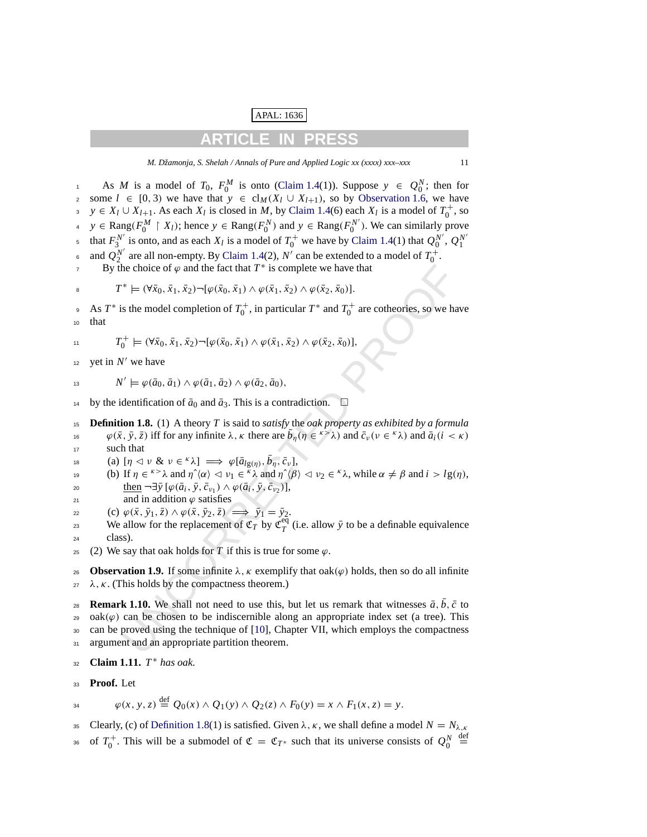## **ARTICLE**

As *M* is a model of  $T_0$ ,  $F_0^M$  is onto [\(Claim 1.4\(](#page-6-1)1)). Suppose  $y \in Q_0^N$ ; then for 2 some *l* ∈ [0, 3) we have that  $y \in cl_M(X_l \cup X_{l+1})$ , so by [Observation 1.6,](#page-8-2) we have *y* ∈ *X<sub>l</sub>* ∪ *X<sub>l+1</sub>*. As each *X<sub>l</sub>* is closed in *M*, by [Claim 1.4\(](#page-6-1)6) each *X<sub>l</sub>* is a model of  $T_0^+$ , so *y* ∈ Rang( $F_0^M$  |  $X_l$ ); hence  $y$  ∈ Rang( $F_0^N$ ) and  $y$  ∈ Rang( $F_0^{N'}$ ). We can similarly prove that  $F_3^N$  is onto, and as each  $X_l$  is a model of  $T_0^+$  we have by [Claim 1.4\(](#page-6-1)1) that  $Q_0^N$ ,  $Q_1^N$ and  $Q_2^{N'}$  are all non-empty. By [Claim 1.4\(](#page-6-1)2),  $N'$  can be extended to a model of  $T_0^+$ .

By the choice of  $\varphi$  and the fact that  $T^*$  is complete we have that

 $T^* \models (\forall \bar{x}_0, \bar{x}_1, \bar{x}_2) \neg [\varphi(\bar{x}_0, \bar{x}_1) \land \varphi(\bar{x}_1, \bar{x}_2) \land \varphi(\bar{x}_2, \bar{x}_0)].$ 

As  $T^*$  is the model completion of  $T_0^+$ , in particular  $T^*$  and  $T_0^+$  are cotheories, so we have <sup>10</sup> that

$$
T_0^+ \models (\forall \bar{x}_0, \bar{x}_1, \bar{x}_2) \neg [\varphi(\bar{x}_0, \bar{x}_1) \land \varphi(\bar{x}_1, \bar{x}_2) \land \varphi(\bar{x}_2, \bar{x}_0)],
$$

 $y$ et in  $N'$  we have

$$
N' \models \varphi(\bar{a}_0, \bar{a}_1) \land \varphi(\bar{a}_1, \bar{a}_2) \land \varphi(\bar{a}_2, \bar{a}_0),
$$

<span id="page-10-1"></span>14 by the identification of  $\bar{a}_0$  and  $\bar{a}_3$ . This is a contradiction.

<sup>15</sup> **Definition 1.8.** (1) A theory *T* is said to *satisfy* the *oak property as exhibited by a formula*  $\varphi(\bar{x}, \bar{y}, \bar{z})$  iff for any infinite  $\lambda$ ,  $\kappa$  there are  $\bar{b}_{\eta}(\eta \in {k} > \lambda)$  and  $\bar{c}_{\nu}(\nu \in {k} \lambda)$  and  $\bar{a}_{i}$  ( $i < \kappa$ ) <sup>17</sup> such that

18 (a)  $[\eta \lhd v \& v \in {^{\kappa} \lambda}] \implies \varphi[\bar{a}_{lg(\eta)}, \bar{b}_{\eta}, \bar{c}_{\nu}],$ 

(b) If  $\eta \in \kappa > \lambda$  and  $\eta^{\hat{}}(\alpha) \leq \nu_1 \in \kappa \lambda$  and  $\eta^{\hat{}}(\beta) \leq \nu_2 \in \kappa \lambda$ , while  $\alpha \neq \beta$  and  $i > lg(\eta)$ ,  $\frac{\text{then}}{\text{def}}$   $\neg \exists \bar{y} \left[ \varphi(\bar{a}_i, \bar{y}, \bar{c}_{v_1}) \wedge \varphi(\bar{a}_i, \bar{y}, \bar{c}_{v_2}) \right],$ 

21 and in addition  $\varphi$  satisfies

- $\varphi(z)$  (c)  $\varphi(\bar{x}, \bar{y}_1, \bar{z}) \wedge \varphi(\bar{x}, \bar{y}_2, \bar{z}) \implies \bar{y}_1 = \bar{y}_2.$
- We allow for the replacement of  $\mathfrak{C}_T$  by  $\mathfrak{C}_T^{eq}$  (i.e. allow  $\bar{y}$  to be a definable equivalence <sup>24</sup> class).

<span id="page-10-2"></span>25 (2) We say that oak holds for *T* if this is true for some  $\varphi$ .

**26 Observation 1.9.** If some infinite  $\lambda$ ,  $\kappa$  exemplify that oak( $\varphi$ ) holds, then so do all infinite  $27 \lambda$ ,  $\kappa$ . (This holds by the compactness theorem.)

be choice of  $\varphi$  and the fact that  $T^*$  is complete we have that<br>
\*  $\models (\forall \bar{x}_0, \bar{x}_1, \bar{x}_2) - [\varphi(\bar{x}_0, \bar{x}_1) \land \varphi(\bar{x}_1, \bar{x}_2) \land \varphi(\bar{x}_2, \bar{x}_0)].$ <br>
s the model completion of  $T_0^+,$  in particular  $T^*$  and  $T_0^+$  are coth **Remark 1.10.** We shall not need to use this, but let us remark that witnesses  $\bar{a}$ ,  $\bar{b}$ ,  $\bar{c}$  to 29 oak $(\varphi)$  can be chosen to be indiscernible along an appropriate index set (a tree). This <sup>30</sup> can be proved using the technique of [10], Chapter VII, which employs the compactness 31 argument and an appropriate partition theorem.

- <span id="page-10-0"></span>**claim 1.11.**  $T^*$  has oak.
- <sup>33</sup> **Proof.** Let

 $\varphi(x, y, z) \stackrel{\text{def}}{=} Q_0(x) \wedge Q_1(y) \wedge Q_2(z) \wedge F_0(y) = x \wedge F_1(x, z) = y.$ 

35 Clearly, (c) of [Definition 1.8\(](#page-10-1)1) is satisfied. Given  $\lambda$ ,  $\kappa$ , we shall define a model  $N = N_{\lambda,\kappa}$ 

36 of  $T_0^+$ . This will be a submodel of  $\mathfrak{C} = \mathfrak{C}_{T^*}$  such that its universe consists of  $Q_0^N \stackrel{\text{def}}{=}$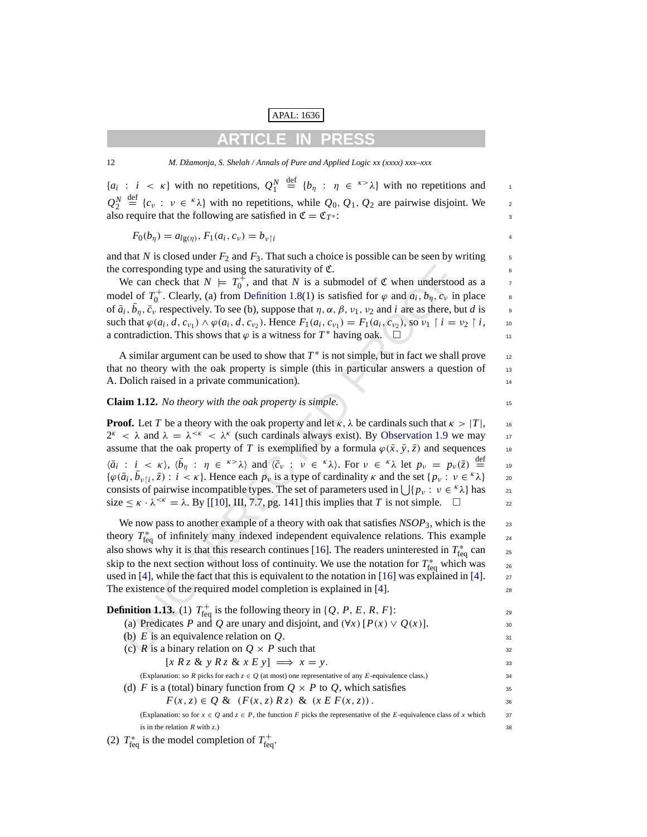### **ARTICLE IN PRESS**

12 *M. Džamonja, S. Shelah / Annals of Pure and Applied Logic xx (xxxx) xxx–xxx*

 ${a_i : i < \kappa}$  with no repetitions,  $Q_1^N \stackrel{\text{def}}{=} {b_{\eta} : \eta \in {k > \lambda}}$  with no repetitions and  $Q_2^N \stackrel{\text{def}}{=} \{c_v : v \in {}^{\kappa} \lambda\}$  with no repetitions, while  $Q_0, Q_1, Q_2$  are pairwise disjoint. We 2 also require that the following are satisfied in  $\mathfrak{C} = \mathfrak{C}_{T^*}$ :

$$
F_0(b_{\eta}) = a_{lg(\eta)}, F_1(a_i, c_{\nu}) = b_{\nu|i}
$$

and that *N* is closed under  $F_2$  and  $F_3$ . That such a choice is possible can be seen by writing  $\overline{5}$ the corresponding type and using the saturativity of  $\mathfrak{C}$ .

We can check that  $N \models T_0^{\pm}$ , and that *N* is a submodel of  $\mathfrak C$  when understood as a model of  $T_0^+$ . Clearly, (a) from Definition 1.8(1) is satisfied for  $\varphi$  and  $a_i, b_\eta, c_\nu$  in place of  $\bar{a}_i$ ,  $\bar{b}_n$ ,  $\bar{c}_v$  respectively. To see (b), suppose that  $\eta$ ,  $\alpha$ ,  $\beta$ ,  $v_1$ ,  $v_2$  and *i* are as there, but *d* is 9 such that  $\varphi(a_i, d, c_{\nu_1}) \wedge \varphi(a_i, d, c_{\nu_2})$ . Hence  $F_1(a_i, c_{\nu_1}) = F_1(a_i, c_{\nu_2})$ , so  $\nu_1 \upharpoonright i = \nu_2 \upharpoonright i$ , 10 a contradiction. This shows that  $\varphi$  is a witness for  $T^*$  having oak.  $\Box$  and  $\Box$  and  $\Box$  and  $\Box$  and  $\Box$  and  $\Box$  and  $\Box$  and  $\Box$  and  $\Box$  and  $\Box$  and  $\Box$  and  $\Box$  and  $\Box$  and  $\Box$  and  $\Box$  and  $\Box$  and  $\Box$  and  $\Box$  and  $\Box$  and  $\Box$  and  $\Box$  and  $\Box$  and  $\Box$  and  $\Box$  and  $\Box$ 

A similar argument can be used to show that  $T^*$  is not simple, but in fact we shall prove  $\frac{1}{2}$ that no theory with the oak property is simple (this in particular answers a question of  $\frac{1}{3}$ A. Dolich raised in a private communication). <sup>14</sup>

**Claim 1.12.** *No theory with the oak property is simple.* <sup>15</sup>

corresponding type and using the saturativity of  $\mathfrak{C}$ .<br>We can check that  $N = T_0^+$ , and that  $N$  is a submodel of  $\mathfrak{C}$  when understow<br>del of  $T_0^+$ . Clearly, (a) from Definition 1.8(1) is satisfied for  $\varphi$  an **Proof.** Let *T* be a theory with the oak property and let  $\kappa$ ,  $\lambda$  be cardinals such that  $\kappa > |T|$ , 16  $2^{k} < \lambda$  and  $\lambda = \lambda^{k} < \lambda^{k}$  (such cardinals always exist). By Observation 1.9 we may 17 assume that the oak property of *T* is exemplified by a formula  $\varphi(\bar{x}, \bar{y}, \bar{z})$  and sequences 18  $\langle \bar{a}_i : i \langle \kappa \rangle, \langle \bar{b}_\eta : \eta \in {}^{\kappa} \rangle$  and  $\langle \bar{c}_\nu : \nu \in {}^{\kappa} \lambda \rangle$ . For  $\nu \in {}^{\kappa} \lambda$  let  $p_\nu = p_\nu(\bar{z}) \stackrel{\text{def}}{=}$  $\{\varphi(\bar{a}_i, \bar{b}_{\nu|i}, \bar{z}) : i < \kappa\}$ . Hence each  $p_{\nu}$  is a type of cardinality  $\kappa$  and the set  $\{p_{\nu} : \nu \in {^{\kappa}\lambda}\}\$ consists of pairwise incompatible types. The set of parameters used in  $\bigcup \{p_\nu : \nu \in {^\kappa \lambda}\}\)$  has size  $\leq \kappa \cdot \lambda^{< \kappa} = \lambda$ . By [[10], III, 7.7, pg. 141] this implies that *T* is not simple.  $\Box$  22

We now pass to another example of a theory with oak that satisfies *NSOP*<sub>3</sub>, which is the 23 theory  $T_{\text{feq}}^*$  of infinitely many indexed independent equivalence relations. This example <sub>24</sub> also shows why it is that this research continues [16]. The readers uninterested in  $T_{\text{feq}}^{*}$  can skip to the next section without loss of continuity. We use the notation for  $T_{\text{feq}}^*$  which was 26 used in [\[4\]](#page-22-14), while the fact that this is equivalent to the notation in [16] was explained in [4].  $27$ The existence of the required model completion is explained in  $[4]$ .

**Definition 1.13.** (1)  $T_{\text{feq}}^+$  is the following theory in {*Q*, *P*, *E*, *R*, *F*}: (a) Predicates *P* and *Q* are unary and disjoint, and  $(\forall x)$  [ $P(x) \lor Q(x)$ ]. (b)  $E$  is an equivalence relation on  $Q$ .  $\qquad \qquad$  31 (c) *R* is a binary relation on  $Q \times P$  such that  $32$  $[x R z \& y R z \& x E y] \implies x = y.$  33 (Explanation: so *R* picks for each  $z \in Q$  (at most) one representative of any *E*-equivalence class.) 34 (d) *F* is a (total) binary function from  $Q \times P$  to *Q*, which satisfies  $\frac{35}{25}$  $F(x, z) \in Q$  &  $(F(x, z) R z)$  &  $(x E F(x, z))$ . (Explanation: so for  $x \in Q$  and  $z \in P$ , the function *F* picks the representative of the *E*-equivalence class of *x* which 37 is in the relation *R* with *z*.) 38

(2)  $T_{\text{feq}}^*$  is the model completion of  $T_{\text{feq}}^+$ .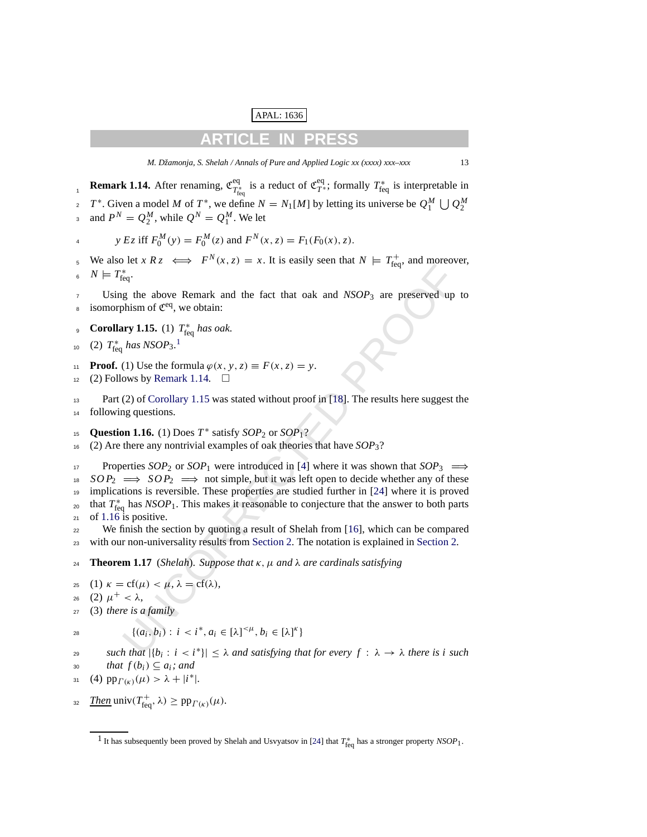<span id="page-12-1"></span>**Remark 1.14.** After renaming,  $\mathfrak{C}_{T_{\text{req}}^*}^{\text{eq}}$  is a reduct of  $\mathfrak{C}_{T^*}^{\text{eq}}$ ; formally  $T_{\text{req}}^*$  is interpretable in *T*<sup>\*</sup>. Given a model *M* of *T*<sup>\*</sup>, we define  $N = N_1[M]$  by letting its universe be  $Q_1^M \cup Q_2^M$ a and  $P^N = Q_2^M$ , while  $Q^N = Q_1^M$ . We let

$$
y E_z \text{ iff } F_0^M(y) = F_0^M(z) \text{ and } F^N(x, z) = F_1(F_0(x), z).
$$

5 We also let *x Rz* ⇔  $F^N(x, z) = x$ . It is easily seen that  $N \models T_{\text{feq}}^+$ , and moreover,  $N \models T^*_{\text{feq}}$ .

<span id="page-12-2"></span><sup>7</sup> Using the above Remark and the fact that oak and *NSOP*<sup>3</sup> are preserved up to isomorphism of  $\mathfrak{C}^{eq}$ , we obtain:

- **Corollary 1.15.** (1)  $T_{\text{feq}}^*$  has oak.
- 10 (2)  $T_{\text{feq}}^*$  *has*  $NSOP_3$ <sup>1</sup>
- 11 **Proof.** (1) Use the formula  $\varphi(x, y, z) \equiv F(x, z) = y$ .
- 12 (2) Follows by Remark 1.14.  $\Box$

<span id="page-12-3"></span>13 Part (2) of Corollary 1.15 was stated without proof in [18]. The results here suggest the <sup>14</sup> following questions.

**Question 1.16.** (1) Does  $T^*$  satisfy  $SOP_2$  or  $SOP_1$ ?

<sup>16</sup> (2) Are there any nontrivial examples of oak theories that have *SOP*3?

in the state of the fact that oak and  $NSOP_3$  $NSOP_3$  $NSOP_3$  are preserved up<br>
in the fact that oak and  $NSOP_3$  are preserved up<br>
in the f<sup>ext</sup>, we obtain:<br> **Extra Proof** Properties (1)  $T_{eq}^*$  $T_{eq}^*$  has oak.<br>
[1) Use the formula  $\varphi(x, y, z) \equiv F$ 17 Properties  $SOP_2$  or  $SOP_1$  were introduced in [4] where it was shown that  $SOP_3 \implies$  $18$  *SOP*<sub>2</sub>  $\implies$  *SOP*<sub>2</sub>  $\implies$  not simple, but it was left open to decide whether any of these <sup>19</sup> implications is reversible. These properties are studied further in [24] where it is proved that  $T_{\text{feq}}^{*}$  has *NSOP*<sub>1</sub>. This makes it reasonable to conjecture that the answer to both parts  $21$  of [1.16](#page-12-3) is positive.

- <sup>24</sup> **Theorem 1.17** (*Shelah*). *Suppose that* κ,µ *and* λ *are cardinals satisfying*
- 25 (1)  $\kappa = cf(\mu) < \mu, \lambda = cf(\lambda)$ ,

26 (2)  $\mu^+ < \lambda$ ,

<sup>27</sup> (3) *there is a family*

$$
\{(a_i, b_i): i < i^*, a_i \in [\lambda]^{<\mu}, b_i \in [\lambda]^{\kappa}\}
$$

*such that*  $|\{b_i : i < i^*\}| \leq \lambda$  *and satisfying that for every f* :  $\lambda \to \lambda$  *there is i such* 

- 30 *that*  $f(b_i) \subseteq a_i$ ; and
- 31 (4)  $pp_{\Gamma(k)}(\mu) > \lambda + |i^*|$ .
- <span id="page-12-0"></span> $\frac{\text{Then}}{\text{supp}(T^+_{\text{feq}}, \lambda)} \geq \text{pp}_{T(\kappa)}(\mu).$

<sup>22</sup> We finish the section by quoting a result of Shelah from [16], which can be compared <sup>23</sup> with our non-universality results from Section 2. The notation is explained in Section 2.

<sup>1</sup> It has subsequently been proved by Shelah and Usvyatsov in [\[24\]](#page-22-15) that *T*<sup>∗</sup> feq has a stronger property *NSOP*1.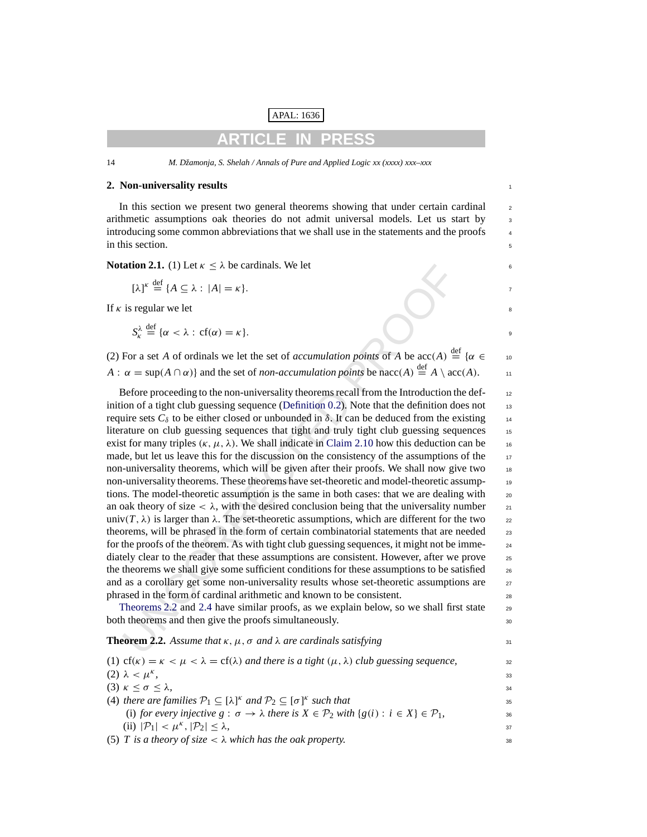

14 *M. Džamonja, S. Shelah / Annals of Pure and Applied Logic xx (xxxx) xxx–xxx*

#### <span id="page-13-0"></span>**2. Non-universality results** <sup>1</sup>

In this section we present two general theorems showing that under certain cardinal  $\frac{2}{3}$ arithmetic assumptions oak theories do not admit universal models. Let us start by <sup>3</sup> introducing some common abbreviations that we shall use in the statements and the proofs <sup>4</sup> in this section.

**Notation 2.1.** (1) Let  $\kappa \leq \lambda$  be cardinals. We let

$$
[\lambda]^{\kappa} \stackrel{\text{def}}{=} \{A \subseteq \lambda : |A| = \kappa\}.
$$

If  $\kappa$  is regular we let  $\delta$ 

$$
S_{\kappa}^{\lambda} \stackrel{\text{def}}{=} {\alpha < \lambda : \text{cf}(\alpha) = \kappa}.
$$

(2) For a set *A* of ordinals we let the set of *accumulation points* of *A* be  $\mathrm{acc}(A) \stackrel{\text{def}}{=} {\alpha \in \mathbb{C}}$  $A: \alpha = \sup(A \cap \alpha)$  and the set of *non-accumulation points* be nacc( $A$ )  $\stackrel{\text{def}}{=} A \setminus \text{acc}(A)$ .

**[E](#page-19-0)XECUTE AS A CONSTANT CONSTANT CONSTANT CONSTANT (B)** Theorems  $\lambda$  and  $\lambda$  and  $\lambda$  and  $\lambda$  are  $\lambda$  is regular we let  $\lambda^k \stackrel{\text{def}}{=} \{A \subseteq \lambda : |A| = \kappa\}$ .<br>For a set A of ordinals we let the set of *accumulation points* Before proceeding to the non-universality theorems recall from the Introduction the definition of a tight club guessing sequence (Definition 0.2). Note that the definition does not  $\frac{1}{3}$ require sets  $C_δ$  to be either closed or unbounded in  $δ$ . It can be deduced from the existing <sup>14</sup> literature on club guessing sequences that tight and truly tight club guessing sequences  $\frac{1}{15}$ exist for many triples  $(\kappa, \mu, \lambda)$ . We shall indicate in Claim 2.10 how this deduction can be made, but let us leave this for the discussion on the consistency of the assumptions of the 17 non-universality theorems, which will be given after their proofs. We shall now give two  $\frac{18}{18}$ non-universality theorems. These theorems have set-theoretic and model-theoretic assump- <sup>19</sup> tions. The model-theoretic assumption is the same in both cases: that we are dealing with  $20$ an oak theory of size  $\langle \lambda \rangle$ , with the desired conclusion being that the universality number  $\frac{21}{21}$ univ( $T$ ,  $\lambda$ ) is larger than  $\lambda$ . The set-theoretic assumptions, which are different for the two 22 theorems, will be phrased in the form of certain combinatorial statements that are needed  $\frac{23}{25}$ for the proofs of the theorem. As with tight club guessing sequences, it might not be imme- $\frac{24}{4}$ diately clear to the reader that these assumptions are consistent. However, after we prove 25 the theorems we shall give some sufficient conditions for these assumptions to be satisfied  $26$ and as a corollary get some non-universality results whose set-theoretic assumptions are  $27$ phrased in the form of cardinal arithmetic and known to be consistent.

<span id="page-13-1"></span>[Theorems 2](#page-13-1).2 and 2.4 have similar proofs, as we explain below, so we shall first state  $_{29}$ both theorems and then give the proofs simultaneously.  $\frac{30}{20}$ 

#### **Theorem 2.2.** *Assume that*  $\kappa$ ,  $\mu$ ,  $\sigma$  *and*  $\lambda$  *are cardinals satisfying*  $\frac{31}{2}$

| (1) $cf(\kappa) = \kappa < \mu < \lambda = cf(\lambda)$ and there is a tight $(\mu, \lambda)$ club guessing sequence,         | 32 |
|-------------------------------------------------------------------------------------------------------------------------------|----|
| (2) $\lambda < \mu^k$ ,                                                                                                       | 33 |
| $(3)$ $\kappa < \sigma < \lambda$ ,                                                                                           | 34 |
| (4) there are families $\mathcal{P}_1 \subseteq [\lambda]^k$ and $\mathcal{P}_2 \subseteq [\sigma]^k$ such that               | 35 |
| (i) for every injective $g : \sigma \to \lambda$ there is $X \in \mathcal{P}_2$ with $\{g(i) : i \in X\} \in \mathcal{P}_1$ , | 36 |
| (ii) $ \mathcal{P}_1  < \mu^k$ , $ \mathcal{P}_2  < \lambda$ ,                                                                | 37 |
| (5) T is a theory of size $\langle \ \lambda \rangle$ which has the oak property.                                             | 38 |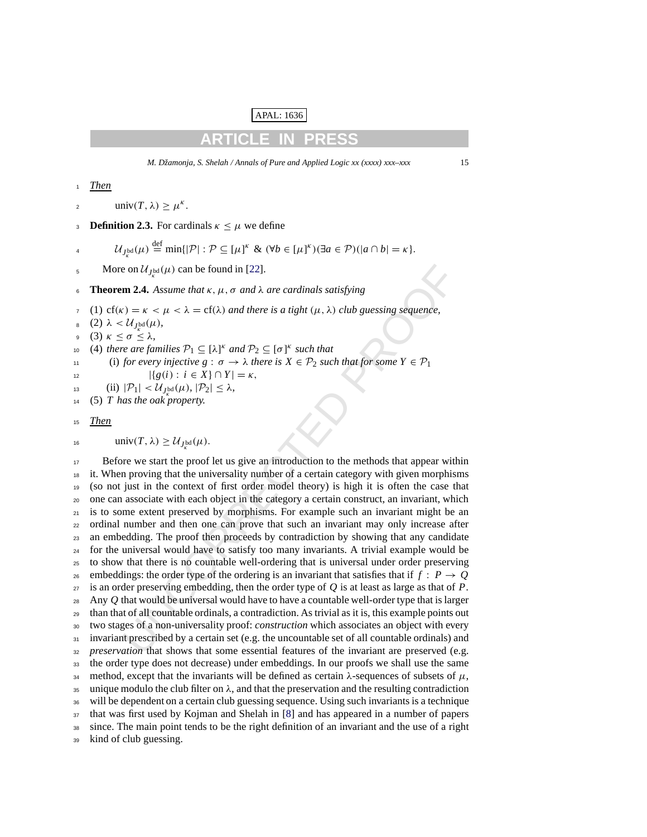*M. Džamonja, S. Shelah / Annals of Pure and Applied Logic xx (xxxx) xxx–xxx* 15

<sup>1</sup> *Then*

univ(T,  $\lambda$ ) >  $\mu^k$ .

**Definition 2.3.** For cardinals  $\kappa \leq \mu$  we define

$$
\mathcal{U}_{J_k^{\mathrm{bd}}}(\mu) \stackrel{\text{def}}{=} \min\{|\mathcal{P}| : \mathcal{P} \subseteq [\mu]^k \& (\forall b \in [\mu]^k)(\exists a \in \mathcal{P})\,a \cap b| = \kappa\}.
$$

More on  $\mathcal{U}_{J_{\kappa}^{\text{bd}}}(\mu)$  can be found in [22].

<sup>6</sup> **Theorem 2.4.** *Assume that* κ, µ, σ *and* λ *are cardinals satisfying*

(1)  $cf(\kappa) = \kappa < \mu < \lambda = cf(\lambda)$  *and there is a tight*  $(\mu, \lambda)$  *club guessing sequence.* 

 $(2) \lambda < \mathcal{U}_{J_{\kappa}^{\mathrm{bd}}}(\mu),$ <sup>9</sup> (3) κ ≤ σ ≤ λ*,*

10 (4) *there are families*  $P_1 \subseteq [\lambda]^k$  *and*  $P_2 \subseteq [\sigma]^k$  *such that* 

(i) for every injective 
$$
g : \sigma \to \lambda
$$
 there is  $X \in \mathcal{P}_2$  such that for some  $Y \in \mathcal{P}_1$ 

12  $|\{g(i) : i \in X\} \cap Y| = \kappa,$ 

13 (ii)  $|\mathcal{P}_1| < \mathcal{U}_{J_k^{\text{bd}}}(\mu), |\mathcal{P}_2| \leq \lambda$ *,* 

<sup>14</sup> (5) *T has the oak property.*

<sup>15</sup> *Then*

$$
\text{univ}(T,\lambda) \geq \mathcal{U}_{J_k^{\text{bd}}}(\mu).
$$

<span id="page-14-0"></span>e on  $\mathcal{U}_{I_x^{bd}}(\mu)$  can be found in [22].<br> **m 2.4.** Assume that  $\kappa$ ,  $\mu$ ,  $\sigma$  and  $\lambda$  are cardinals satisfying<br>  $\kappa$ ) =  $\kappa < \mu < \lambda = c f(\lambda)$  and there is a tight  $(\mu, \lambda)$  club guessing sequence,<br>  $\mathcal{U}_{I_x^{bd}}(\mu)$ ,<br> Before we start the proof let us give an introduction to the methods that appear within it. When proving that the universality number of a certain category with given morphisms (so not just in the context of first order model theory) is high it is often the case that one can associate with each object in the category a certain construct, an invariant, which is to some extent preserved by morphisms. For example such an invariant might be an ordinal number and then one can prove that such an invariant may only increase after an embedding. The proof then proceeds by contradiction by showing that any candidate for the universal would have to satisfy too many invariants. A trivial example would be to show that there is no countable well-ordering that is universal under order preserving 26 embeddings: the order type of the ordering is an invariant that satisfies that if  $f : P \to Q$  is an order preserving embedding, then the order type of  $Q$  is at least as large as that of  $P$ . Any *Q* that would be universal would have to have a countable well-order type that is larger than that of all countable ordinals, a contradiction. As trivial as it is, this example points out two stages of a non-universality proof: *construction* which associates an object with every invariant prescribed by a certain set (e.g. the uncountable set of all countable ordinals) and *preservation* that shows that some essential features of the invariant are preserved (e.g. the order type does not decrease) under embeddings. In our proofs we shall use the same 34 method, except that the invariants will be defined as certain  $\lambda$ -sequences of subsets of  $\mu$ , 35 unique modulo the club filter on  $\lambda$ , and that the preservation and the resulting contradiction will be dependent on a certain club guessing sequence. Using such invariants is a technique that was first used by Kojman and Shelah in [\[8\]](#page-22-5) and has appeared in a number of papers since. The main point tends to be the right definition of an invariant and the use of a right kind of club guessing.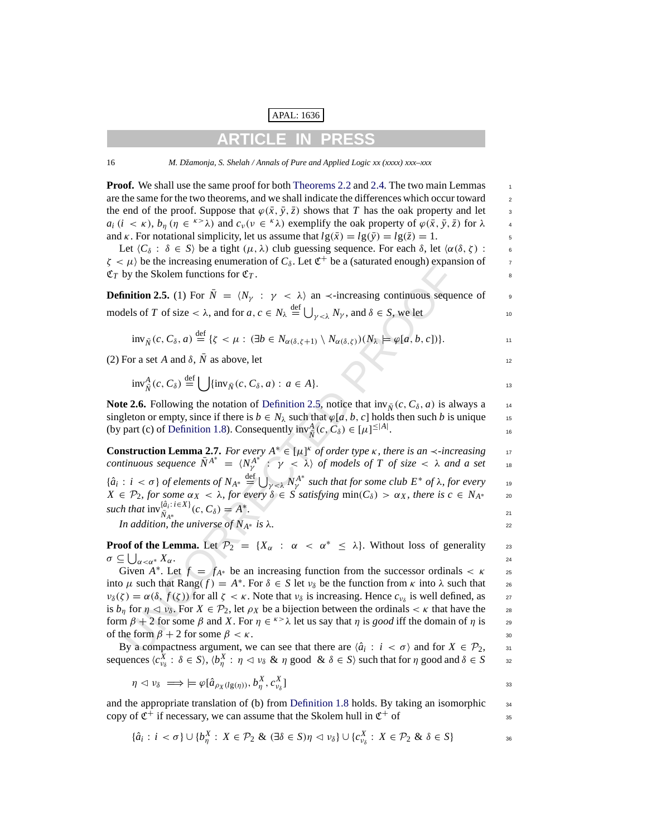### **ARTICLE**

#### 16 *M. Džamonja, S. Shelah / Annals of Pure and Applied Logic xx (xxxx) xxx–xxx*

**Proof.** We shall use the same proof for both [Theorems 2.2](#page-13-1) and [2.4.](#page-14-0) The two main Lemmas are the same for the two theorems, and we shall indicate the differences which occur toward 2 the end of the proof. Suppose that  $\varphi(\bar{x}, \bar{y}, \bar{z})$  shows that *T* has the oak property and let 3  $a_i$  (*i* < *κ*),  $b_n$  ( $\eta \in {k > \lambda}$ ) and  $c_v$  ( $v \in {k \lambda}$ ) exemplify the oak property of  $\varphi(\bar{x}, \bar{y}, \bar{z})$  for  $\lambda$ and  $\kappa$ . For notational simplicity, let us assume that  $lg(\bar{x}) = lg(\bar{y}) = lg(\bar{z}) = 1$ .

Let  $\langle C_\delta : \delta \in S \rangle$  be a tight  $(\mu, \lambda)$  club guessing sequence. For each  $\delta$ , let  $\langle \alpha(\delta, \zeta) : \delta \in S \rangle$  $\zeta < \mu$ ) be the increasing enumeration of  $C_\delta$ . Let  $\mathfrak{C}^+$  be a (saturated enough) expansion of  $\sigma$  $\mathfrak{C}_T$  by the Skolem functions for  $\mathfrak{C}_T$ .

**Definition 2.5.** (1) For  $\overline{N} = \langle N_{\gamma} : \gamma \langle \lambda \rangle$  an  $\prec$ -increasing continuous sequence of 9 models of *T* of size  $\langle \lambda \rangle$ , and for  $a, c \in N_\lambda \stackrel{\text{def}}{=} \bigcup_{\gamma \langle \lambda \rangle} N_\gamma$ , and  $\delta \in S$ , we let

$$
\text{inv}_{\bar{N}}(c, C_{\delta}, a) \stackrel{\text{def}}{=} \{ \zeta < \mu : (\exists b \in N_{\alpha(\delta, \zeta + 1)} \setminus N_{\alpha(\delta, \zeta)})(N_{\lambda} \models \varphi[a, b, c]) \}.
$$

(2) For a set *A* and  $\delta$ ,  $\bar{N}$  as above, let 12

$$
\text{inv}_{\bar{N}}^A(c, C_\delta) \stackrel{\text{def}}{=} \bigcup \{ \text{inv}_{\bar{N}}(c, C_\delta, a) : a \in A \}.
$$

<span id="page-15-1"></span>**Note 2.6.** Following the notation of Definition 2.5, notice that  $inv_{\bar{N}}(c, C_{\delta}, a)$  is always a 14 singleton or empty, since if there is  $b \in N_\lambda$  such that  $\varphi[a, b, c]$  holds then such *b* is unique 15 (by part (c) of Definition 1.8). Consequently  $\text{inv}_{\bar{N}}^{\bar{A}}(c, C_{\delta}) \in [\mu]^{\leq |A|}$  $\cdot$  16

<span id="page-15-0"></span>by the Skolem functions for  $e_x$ .  $\therefore e_y$ .  $\therefore e_z$ .  $\therefore$   $\therefore$   $\therefore$   $\therefore$   $\therefore$   $\therefore$   $\therefore$   $\therefore$   $\therefore$   $\therefore$   $\therefore$   $\therefore$   $\therefore$   $\therefore$   $\therefore$   $\therefore$   $\therefore$   $\therefore$   $\therefore$   $\therefore$   $\therefore$   $\therefore$   $\therefore$   $\therefore$   $\therefore$   $\therefore$   $\therefore$   $\therefore$  **Construction Lemma 2.7.** *For every*  $A^* \in [\mu]^k$  *of order type*  $\kappa$ *, there is an*  $\prec$ *-increasing* 17 *continuous sequence*  $\bar{N}^{A^*} = \langle N^{A^*}_{\gamma} : \gamma \langle \lambda \rangle$  *of models of T of size*  $\langle \lambda \rangle$  *and a set*  $\{\hat{a}_i : i < \sigma\}$  of elements of  $N_{A^*} \stackrel{\text{def}}{=} \bigcup_{\gamma \prec \lambda} N_{\gamma}^{A^*}$  such that for some club  $E^*$  of  $\lambda$ , for every  $X \in \mathcal{P}_2$ , for some  $\alpha_X < \lambda$ , for every  $\delta \in S$  satisfying  $\min(C_\delta) > \alpha_X$ , there is  $c \in N_{A^*}$  20  $\int_{N_{A^*}}^{N_{A^*}}$   $(c, C_\delta) = A^*$ .

*In addition, the universe of*  $N_{A^*}$  *is*  $\lambda$ .

**Proof of the Lemma.** Let  $P_2 = \{X_\alpha : \alpha < \alpha^* \leq \lambda\}$ . Without loss of generality 23  $\sigma \subseteq \bigcup$  $\alpha < \alpha^* X \alpha$ . 24

Given  $A^*$ . Let  $f = f_{A^*}$  be an increasing function from the successor ordinals <  $\kappa$  25 into  $\mu$  such that Rang( $f$ ) =  $A^*$ . For  $\delta \in S$  let  $\nu_{\delta}$  be the function from  $\kappa$  into  $\lambda$  such that 26  $\nu_{\delta}(\zeta) = \alpha(\delta, f(\zeta))$  for all  $\zeta < \kappa$ . Note that  $\nu_{\delta}$  is increasing. Hence  $c_{\nu_{\delta}}$  is well defined, as 27 is  $b_{\eta}$  for  $\eta \lhd \nu_{\delta}$ . For  $X \in \mathcal{P}_2$ , let  $\rho_X$  be a bijection between the ordinals  $\lt \kappa$  that have the 28<br>form  $\beta + 2$  for some  $\beta$  and X. For  $n \in \kappa > \lambda$  let us say that *n* is good iff the domain of *n* is form  $\beta + 2$  for some  $\beta$  and *X*. For  $\eta \in \kappa > \lambda$  let us say that  $\eta$  is *good* iff the domain of  $\eta$  is of the form  $\beta + 2$  for some  $\beta < \kappa$ .

By a compactness argument, we can see that there are  $\langle \hat{a}_i : i < \sigma \rangle$  and for  $X \in \mathcal{P}_2$ , 31 sequences  $\langle c_{\nu_\delta}^X : \delta \in S \rangle$ ,  $\langle b_{\eta}^X : \eta \vartriangleleft v_\delta \& \eta \text{ good } \& \delta \in S \rangle$  such that for  $\eta$  good and  $\delta \in S$  32

$$
\eta \vartriangleleft \nu_{\delta} \implies \models \varphi[\hat{a}_{\rho_X(lg(\eta))}, b_{\eta}^X, c_{\nu_{\delta}}^X] \tag{3}
$$

and the appropriate translation of (b) from [Definition 1.8](#page-10-1) holds. By taking an isomorphic  $\frac{34}{4}$ copy of  $\mathfrak{C}^+$  if necessary, we can assume that the Skolem hull in  $\mathfrak{C}^+$  of  $\overline{\phantom{a}}$  35

$$
\{\hat{a}_i : i < \sigma\} \cup \{b^X_\eta : X \in \mathcal{P}_2 \& (\exists \delta \in S) \eta \triangleleft \nu_\delta\} \cup \{c^X_{\nu_\delta} : X \in \mathcal{P}_2 \& \delta \in S\}
$$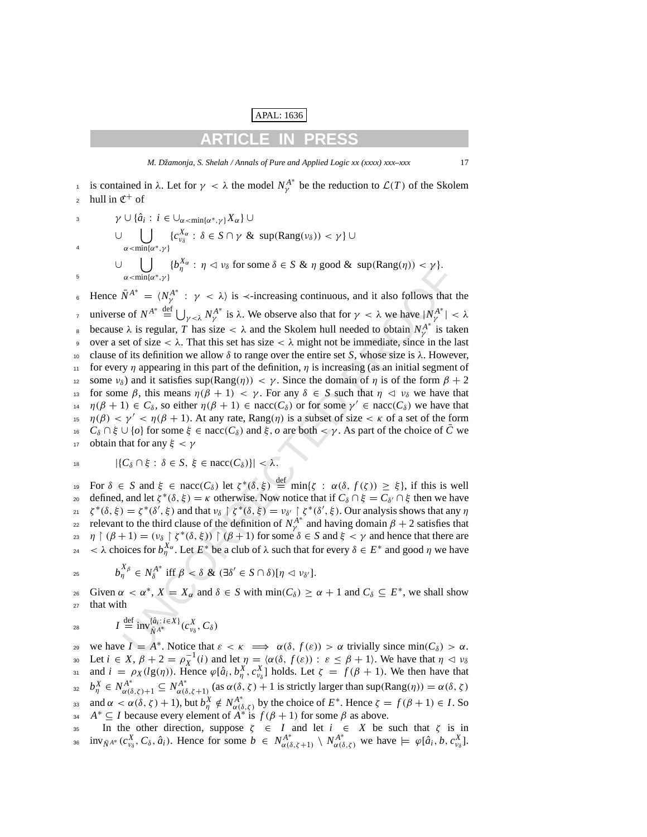*M. Džamonja, S. Shelah / Annals of Pure and Applied Logic xx (xxxx) xxx–xxx* 17

is contained in  $\lambda$ . Let for  $\gamma < \lambda$  the model  $N_\gamma^{A^*}$  be the reduction to  $\mathcal{L}(T)$  of the Skolem 2 hull in  $\mathfrak{C}^+$  of

4

5

$$
\bigcup_{\alpha < \min\{\alpha^*, \gamma\}} \{c_{\nu_\delta}^{X_\alpha} : \delta \in S \cap \gamma \& \sup(\text{Rang}(\nu_\delta)) < \gamma\} \cup
$$
  

$$
\bigcup_{\alpha < \min\{\alpha^*, \gamma\}} \{b_{\eta}^{X_\alpha} : \eta \leq \nu_\delta \text{ for some } \delta \in S \& \eta \text{ good } \& \sup(\text{Rang}(\eta)) < \gamma\}.
$$

 $\overline{X} = \bigcup_{i=1}^{n} \{i \in \mathbb{Z}^n : \eta < 1 \nu_3 \text{ for some } \delta \in \mathbb{Z} \text{ or } \eta \text{ good } \alpha \text{ sup}(\text{Kang}(\eta)) < \gamma\}.$ <br>  $\overline{X}^{\alpha^*} = \langle N_j^{\beta^*} : \gamma < \lambda \rangle \text{ is } \prec \text{increasing continuous, and it also follows that } \text{c of } N^{A^*} \stackrel{\text{def}}{=} \bigcup_{\gamma < \lambda} N_j^{A^*} \text{ is } \lambda. \text{ We observe also that for } \gamma < \lambda \text{ we$ 6 Hence  $\bar{N}^{A^*} = \langle N^{A^*}_{\gamma} : \gamma < \lambda \rangle$  is ≺-increasing continuous, and it also follows that the *v* universe of  $N^{A^*} \stackrel{\text{def}}{=} \bigcup_{\gamma < \lambda} N^{A^*}_{\gamma}$  is  $\lambda$ . We observe also that for  $\gamma < \lambda$  we have  $|N^{A^*}_{\gamma}| < \lambda$  $\alpha$  because λ is regular, *T* has size  $\alpha$  and the Skolem hull needed to obtain  $N_{\gamma}^{A^*}$  is taken 9 over a set of size  $\langle \lambda \rangle$ . That this set has size  $\langle \lambda \rangle$  might not be immediate, since in the last 10 clause of its definition we allow  $\delta$  to range over the entire set *S*, whose size is  $\lambda$ . However, 11 for every  $\eta$  appearing in this part of the definition,  $\eta$  is increasing (as an initial segment of 12 some  $\nu_{\delta}$ ) and it satisfies sup(Rang( $\eta$ )) < γ. Since the domain of  $\eta$  is of the form  $\beta + 2$ 13 for some  $\beta$ , this means  $\eta(\beta + 1) < \gamma$ . For any  $\delta \in S$  such that  $\eta \leq \nu_{\delta}$  we have that  $n_4$   $\eta(\beta + 1) \in C_\delta$ , so either  $\eta(\beta + 1) \in \text{nacc}(C_\delta)$  or for some  $\gamma' \in \text{nacc}(C_\delta)$  we have that  $n_5$   $n(\beta) < \gamma' < n(\beta + 1)$ . At any rate, Rang(n) is a subset of size  $\lt \kappa$  of a set of the form  $C_\delta$  ∩ ξ ∪ {*o*} for some ξ ∈ nacc(*C*<sub>δ</sub>) and ξ, *o* are both < γ. As part of the choice of  $\overline{C}$  we 17 obtain that for any  $\xi < \gamma$ 

$$
18 \qquad |\{C_\delta \cap \xi : \delta \in S, \xi \in \text{nacc}(C_\delta)\}| < \lambda.
$$

 $\gamma$  ∪ { $\hat{a}_i$  :  $i \in \bigcup_{\alpha \leq \min\{\alpha^*, \gamma\}} X_\alpha$ }∪

For  $\delta \in S$  and  $\xi \in \text{nacc}(C_{\delta})$  let  $\zeta^*(\delta, \xi) \stackrel{\text{def}}{=} \min{\{\zeta : \alpha(\delta, f(\zeta)) \geq \xi\}}$ , if this is well  $\alpha$  defined, and let  $\zeta^*(\delta, \xi) = \kappa$  otherwise. Now notice that if *C*<sub>δ</sub> ∩ ξ = *C*<sub>δ</sub>' ∩ ξ then we have  $\zeta^*(\delta, \xi) = \zeta^*(\delta', \xi)$  and that  $\nu_{\delta} \restriction \zeta^*(\delta, \xi) = \nu_{\delta'} \restriction \zeta^*(\delta', \xi)$ . Our analysis shows that any  $\eta$ relevant to the third clause of the definition of  $N_f^{A*}$  and having domain  $\beta + 2$  satisfies that  $n \restriction (\beta + 1) = (\nu_{\delta} \restriction \zeta^*(\delta, \xi)) \restriction (\beta + 1)$  for some  $\delta \in S$  and  $\xi < \gamma$  and hence that there are  $\lambda_1$  <  $\lambda$  choices for  $b_n^{X_\alpha}$ . Let  $E^*$  be a club of  $\lambda$  such that for every  $\delta \in E^*$  and good  $\eta$  we have

$$
b_{\eta}^{X_{\beta}} \in N_{\delta}^{A^*} \text{ iff } \beta < \delta \ \& \ (\exists \delta' \in S \cap \delta) [\eta \vartriangleleft \nu_{\delta'}].
$$

Given  $\alpha < \alpha^*$ ,  $X = X_\alpha$  and  $\delta \in S$  with min( $C_\delta$ )  $\geq \alpha + 1$  and  $C_\delta \subseteq E^*$ , we shall show <sup>27</sup> that with

$$
I \stackrel{\text{def}}{=} \text{inv}_{\bar{N}^{A^*}}^{\{\hat{a}_i : i \in X\}}(c_{\nu_\delta}^X, C_\delta)
$$

we have  $I = A^*$ . Notice that  $\varepsilon < \kappa \implies \alpha(\delta, f(\varepsilon)) > \alpha$  trivially since min( $C_\delta$ )  $> \alpha$ .  $\alpha_3$  Let *i* ∈ *X*, *β* + 2 =  $\rho_X^{-1}(i)$  and let  $\eta = \langle \alpha(\delta, f(\varepsilon)) : \varepsilon \leq \beta + 1 \rangle$ . We have that  $\eta \vartriangleleft \nu_\delta$ and  $i = \rho_X(lg(\eta))$ . Hence  $\varphi[\hat{a}_i, b_\eta^X, c_{\nu_\delta}^X]$  holds. Let  $\zeta = f(\beta + 1)$ . We then have that  $b^X_{\eta} \in N_{\alpha(\delta,\zeta)+1}^{\Lambda^*} \subseteq N_{\alpha(\delta,\zeta)+1}^{\Lambda^*}$  (as  $\alpha(\delta,\zeta)+1$  is strictly larger than sup(Rang( $\eta$ )) =  $\alpha(\delta,\zeta)$ and  $\alpha < \alpha(\delta, \zeta) + 1$ , but  $b^X_\eta \notin N_{\alpha(\delta, \zeta)}^{A^*}$  by the choice of  $E^*$ . Hence  $\zeta = f(\beta + 1) \in I$ . So  $A^* \subseteq I$  because every element of  $A^*$  is  $f(\beta + 1)$  for some  $\beta$  as above. 35 In the other direction, suppose  $\zeta \in I$  and let  $i \in X$  be such that  $\zeta$  is in

 $\lim_{\alpha \to 0} \lim_{\delta \to 0} (c_{\nu_\delta}^X, C_\delta, \hat{a}_i)$ . Hence for some  $b \in N_{\alpha(\delta, \zeta+1)}^{A^*} \setminus N_{\alpha(\delta, \zeta)}^{A^*}$  we have  $\models \varphi[\hat{a}_i, b, c_{\nu_\delta}^X]$ .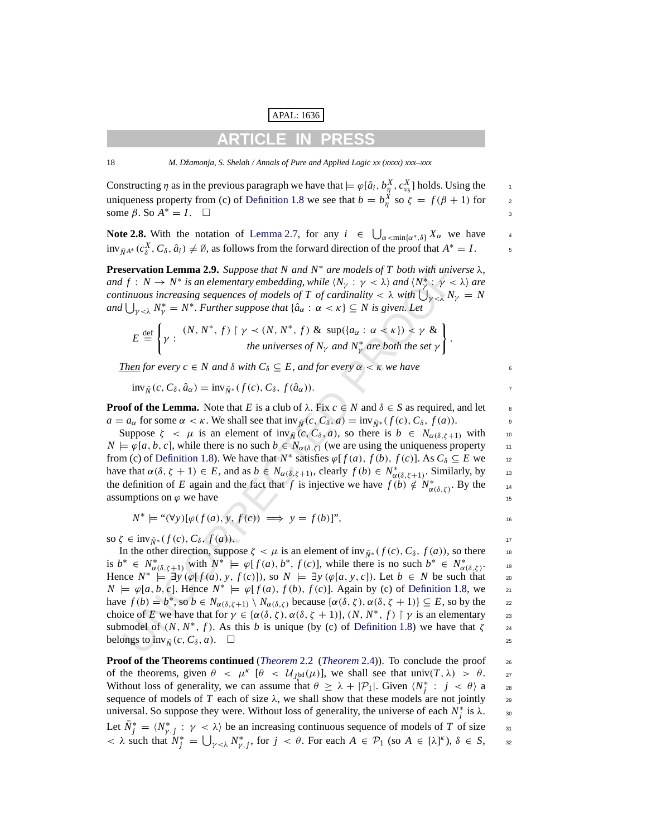### **ARTICLE**

#### 18 *M. Džamonja, S. Shelah / Annals of Pure and Applied Logic xx (xxxx) xxx–xxx*

Constructing  $\eta$  as in the previous paragraph we have that  $\models \varphi[\hat{a}_i, b_{\eta}^X, c_{\nu_{\delta}}^X]$  holds. Using the uniqueness property from (c) of [Definition 1.8](#page-10-1) we see that  $b = b_{\eta}^X$  so  $\zeta = f(\beta + 1)$  for 2 some  $\beta$ . So  $A^* = I$ .  $\Box$  $\Box$ 

<span id="page-17-0"></span>**Note 2.8.** With the notation of [Lemma 2.7,](#page-15-1) for any  $i \in \bigcup_{\alpha \leq \min\{\alpha^*, \delta\}} X_\alpha$  we have  $\sinv \bar{N} A^* (c_{\delta}^X, C_{\delta}, \hat{a}_i) \neq \emptyset$ , as follows from the forward direction of the proof that  $A^* = I$ .

**Preservation Lemma 2.9.** *Suppose that N and N*<sup>∗</sup> *are models of T both with universe* λ*, and*  $f: N \to N^*$  *is an elementary embedding, while*  $\langle N_\gamma : \gamma < \lambda \rangle$  *and*  $\langle N_\gamma^* : \gamma < \lambda \rangle$  *are continuous increasing sequences of models of T of cardinality*  $< \lambda$  with  $\bigcup_{\gamma < \lambda} N_{\gamma} = N$ *and*  $\bigcup_{\gamma < \lambda} N^*_{\gamma} = N^*$ *. Further suppose that*  $\{\hat{a}_{\alpha} : \alpha < \kappa\} \subseteq N$  *is given. Let* 

$$
E \stackrel{\text{def}}{=} \left\{ \gamma : \begin{array}{c} (N, N^*, f) \upharpoonright \gamma \prec (N, N^*, f) \& \sup([a_\alpha : \alpha < \kappa]) < \gamma \& \\ the \text{universes of } N_\gamma \text{ and } N^*_\gamma \text{ are both the set } \gamma \end{array} \right\}.
$$

*Then for every*  $c \in N$  *and*  $\delta$  *with*  $C_{\delta} \subseteq E$ *, and for every*  $\alpha < \kappa$  *we have* 

$$
\text{inv}_{\bar{N}}(c, C_{\delta}, \hat{a}_{\alpha}) = \text{inv}_{\bar{N}^*}(f(c), C_{\delta}, f(\hat{a}_{\alpha})).
$$

**Proof of the Lemma.** Note that *E* is a club of  $\lambda$ . Fix  $c \in N$  and  $\delta \in S$  as required, and let 8  $a = a_{\alpha}$  for some  $\alpha < \kappa$ . We shall see that  $\text{inv}_{\bar{\mathcal{N}}}(c, C_{\delta}, a) = \text{inv}_{\bar{\mathcal{N}}^*}(f(c), C_{\delta}, f(a)).$ 

Suppose  $\zeta < \mu$  is an element of inv<sub>N</sub><sup> $\zeta$ </sup> (*c*, *C*<sub>δ</sub>, *a*), so there is  $b \in N_{\alpha(\delta, \zeta+1)}$  with 10  $N \models \varphi[a, b, c]$ , while there is no such  $b \in N_{\alpha(\delta, \zeta)}$  (we are using the uniqueness property 11 from (c) of Definition 1.8). We have that  $N^*$  satisfies  $\varphi[f(a), f(b), f(c)]$ . As  $C_\delta \subseteq E$  we 12 have that  $\alpha(\delta, \zeta + 1) \in E$ , and as  $b \in N_{\alpha(\delta, \zeta + 1)}$ , clearly  $f(b) \in N_{\alpha(\delta, \zeta + 1)}^*$ . Similarly, by the definition of *E* again and the fact that *f* is injective we have  $f(b) \notin N^*_{\alpha(\delta,\zeta)}$ . By the assumptions on  $\varphi$  we have 15

$$
N^* \models "\forall y)[\varphi(f(a), y, f(c)) \implies y = f(b)]",
$$

 $\text{so } \zeta \in \text{inv}_{\bar{N}^*}(f(c), C_\delta, f(a))$ .

servation Lemma 2.9. Suppose that N and N\* are models of T both with univ<br>  $f: X \rightarrow N^*$  is an elementary embedding, while  $\langle N_y : \gamma < \lambda$  and  $\langle N_y^* : \gamma < \lambda$  and  $\langle N_y^* : \gamma < \lambda \rangle$ <br>  $\langle \bigcup_{y \prec \lambda} N_y^* = N^*$ . Further suppose that  $\$ In the other direction, suppose  $\zeta < \mu$  is an element of  $\text{inv}_{\bar{N}^*}(f(c), C_\delta, f(a))$ , so there 18 is  $b^* \in N^*_{\alpha(\delta,\zeta+1)}$  with  $N^* \models \varphi[f(a), b^*, f(c)]$ , while there is no such  $b^* \in N^*_{\alpha(\delta,\zeta)}$ . Hence  $N^* \models \exists y (\varphi[f(a), y, f(c)])$ , so  $N \models \exists y (\varphi[a, y, c])$ . Let  $b \in N$  be such that 20 *N*  $\models \varphi[a, b, c]$ . Hence *N*<sup>∗</sup>  $\models \varphi[f(a), f(b), f(c)]$ . Again by (*c*) of Definition [1.8,](#page-10-1) we 21 have  $f(b) = b^*$ , so  $b \in N_{\alpha(\delta,\zeta+1)} \setminus N_{\alpha(\delta,\zeta)}$  because  $\{\alpha(\delta,\zeta), \alpha(\delta,\zeta+1)\} \subseteq E$ , so by the 22 choice of *E* we have that for  $\gamma \in {\alpha(\delta, \zeta), \alpha(\delta, \zeta + 1)}, (N, N^*, f) \upharpoonright \gamma$  is an elementary 23 submodel of  $(N, N^*, f)$ . As this *b* is unique (by (c) of Definition 1.8) we have that  $\zeta$  24 belongs to inv $_{\bar{N}}(c, C_{\delta}, a)$ .  $\Box$  $\Box$ 

**Proof of the [Theorem](#page-14-0)s continued** (*Theorem [2.2](#page-13-1) (Theorem 2.4*)). To conclude the proof <sub>26</sub> of the theorems, given  $\theta < \mu^k [\theta < U_{\text{Jyd}}(\mu)]$ , we shall see that univ(*T*,  $\lambda > \theta$ . Without loss of generality, we can assume that  $\theta \ge \lambda + |\mathcal{P}_1|$ . Given  $\langle N_j^* : j < \theta \rangle$  a 28 sequence of models of *T* each of size  $\lambda$ , we shall show that these models are not jointly 29 universal. So suppose they were. Without loss of generality, the universe of each  $N_j^*$  is  $\lambda$ . Let  $\bar{N}_j^* = \langle N_{\gamma,j}^* : \gamma < \lambda \rangle$  be an increasing continuous sequence of models of *T* of size 31  $\lambda$  such that  $N_j^* = \bigcup_{\gamma < \lambda} N_{\gamma,j}^*$ , for  $j < \theta$ . For each  $A \in \mathcal{P}_1$  (so  $A \in [\lambda]^k$ ),  $\delta \in S$ , 32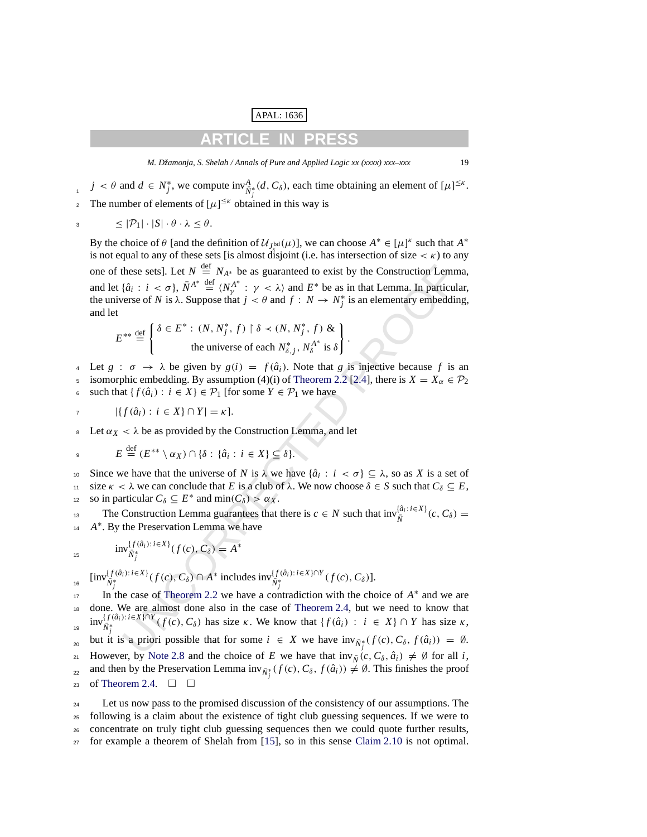## **ARTICLI**

*M. Džamonja, S. Shelah / Annals of Pure and Applied Logic xx (xxxx) xxx–xxx* 19

*j* <  $\theta$  and  $d \in N_j^*$ , we compute  $\text{inv}_{N_j^*}^A(d, C_\delta)$ , each time obtaining an element of  $[\mu]^{\leq \kappa}$ . The number of elements of  $[\mu]^{\leq \kappa}$  obtained in this way is

 $3 \leq |\mathcal{P}_1| \cdot |S| \cdot \theta \cdot \lambda \leq \theta.$ 

By the choice of  $\theta$  [and the definition of  $\mathcal{U}_{f^{\text{bd}}_{A}}(\mu)$ ], we can choose  $A^* \in [\mu]^k$  such that  $A^*$ is not equal to any of these sets [is almost disjoint (i.e. has intersection of size  $\lt k$ ) to any one of these sets]. Let  $N \stackrel{\text{def}}{=} N_{A^*}$  be as guaranteed to exist by the Construction Lemma, and let  $\{\hat{a}_i : i < \sigma\}$ ,  $\bar{N}^{A^*} \stackrel{\text{def}}{=} \langle N^{A^*}_{\gamma} : \gamma < \lambda \rangle$  and  $E^*$  be as in that Lemma. In particular, the universe of *N* is  $\lambda$ . Suppose that  $j < \theta$  and  $f : N \to N_j^*$  is an elementary embedding, and let

.

$$
E^{**} \stackrel{\text{def}}{=} \left\{ \begin{array}{c} \delta \in E^* : (N, N_j^*, f) \upharpoonright \delta \prec (N, N_j^*, f) \& \\ \text{the universe of each } N_{\delta,j}^*, N_{\delta}^{A^*} \text{ is } \delta \end{array} \right\}
$$

Let  $g : \sigma \to \lambda$  be given by  $g(i) = f(\hat{a}_i)$ . Note that g is injective because f is an 5 isomorphic embedding. By assumption (4)(i) of Theorem 2.2 [2.4], there is  $X = X_\alpha \in \mathcal{P}_2$ <br>6 such that  $\{f(\hat{a}) : i \in X\} \in \mathcal{P}_1$  [for some  $Y \in \mathcal{P}_1$  we have such that  ${ f(\hat{a}_i) : i \in X} \in \mathcal{P}_1$  [for some  $Y \in \mathcal{P}_1$  we have

$$
7 \qquad |\{f(\hat{a}_i): i \in X\} \cap Y| = \kappa \}.
$$

<sup>8</sup> Let α*<sup>X</sup>* < λ be as provided by the Construction Lemma, and let

$$
\mathfrak{s} \qquad \qquad E \stackrel{\text{def}}{=} (E^{**} \setminus \alpha_X) \cap \{\delta : \{\hat{a}_i : i \in X\} \subseteq \delta\}.
$$

<sup>10</sup> Since we have that the universe of *N* is λ we have { $â<sub>i</sub>$  : *i* < σ} ⊆ λ, so as *X* is a set of 11 size  $\kappa < \lambda$  we can conclude that *E* is a club of  $\lambda$ . We now choose  $\delta \in S$  such that  $C_{\delta} \subseteq E$ , so in particular *C*<sub>δ</sub> ⊆ *E*<sup>∗</sup> and min(*C*<sub>δ</sub>) > α<sub>X</sub>.

The Construction Lemma guarantees that there is  $c \in N$  such that  $inv_{\bar{N}}^{\{\hat{a}_i : i \in X\}}(c, C_\delta) =$ *A*<sup>∗</sup> <sup>14</sup> . By the Preservation Lemma we have

$$
\mathbf{15}^{\phantom{\dagger}}
$$

$$
\text{inv}_{\bar{N}_j^*}^{\{f(\hat{a}_i): i \in X\}}(f(c), C_\delta) = A^*
$$

 $\{\text{inv}_{\bar{N}^*_j}^{[f(\hat{a}_i): i \in X]}(f(c), C_\delta) \cap A^* \text{ includes } \text{inv}_{\bar{N}^*_j}^{[f(\hat{a}_i): i \in X] \cap Y} (f(c), C_\delta)\}.$ 

these sets). Let  $N \stackrel{\text{def}}{=} N_{A^*}$  be as guaranteed to exist by the Construction Lem<br>  $\{\hat{a}_i : i < \sigma\}$ ,  $\tilde{N}^{A^*} \stackrel{\text{def}}{=} \{N_j^A^* : \gamma < \lambda\}$  and  $E^*$  be as in that Lemma, In particu:<br>
verse of  $N$  is  $\lambda$ . Suppose t In the case of Theorem 2.2 we have a contradiction with the choice of  $A^*$  and we are <sup>18</sup> done. We are almost done also in the case of Theorem 2.4, but we need to know that  $\inf_{\tilde{N}^*_{j}}$   $\inf_{\tilde{N}^*_{j}}$   $\inf_{\tilde{N}^*_{j}}$   $(f(c), C_{\delta})$  has size  $\kappa$ . We know that  $\{f(\hat{a}_i) : i \in X\} \cap Y$  has size  $\kappa$ , but it is a priori possible that for some  $i \in X$  we have  $\text{inv}_{\bar{N}^*_{j}}(f(c), C_{\delta}, f(\hat{a}_i)) = \emptyset$ . 21 However, by [Note 2.8](#page-17-0) and the choice of *E* we have that  $\text{inv}_{\bar{N}}(c, C_{\delta}, \hat{a}_i) \neq \emptyset$  for all *i*, and then by the Preservation Lemma inv<sub> $\bar{N}^*_j(f(c), C_\delta, f(\hat{a}_i)) \neq \emptyset$ . This finishes the proof</sub> 23 of [Theorem 2.4.](#page-14-0)  $\Box$   $\Box$ 

 Let us now pass to the promised discussion of the consistency of our assumptions. The following is a claim about the existence of tight club guessing sequences. If we were to concentrate on truly tight club guessing sequences then we could quote further results, for example a theorem of Shelah from [\[15](#page-22-13)], so in this sense [Claim 2.10](#page-19-0) is not optimal.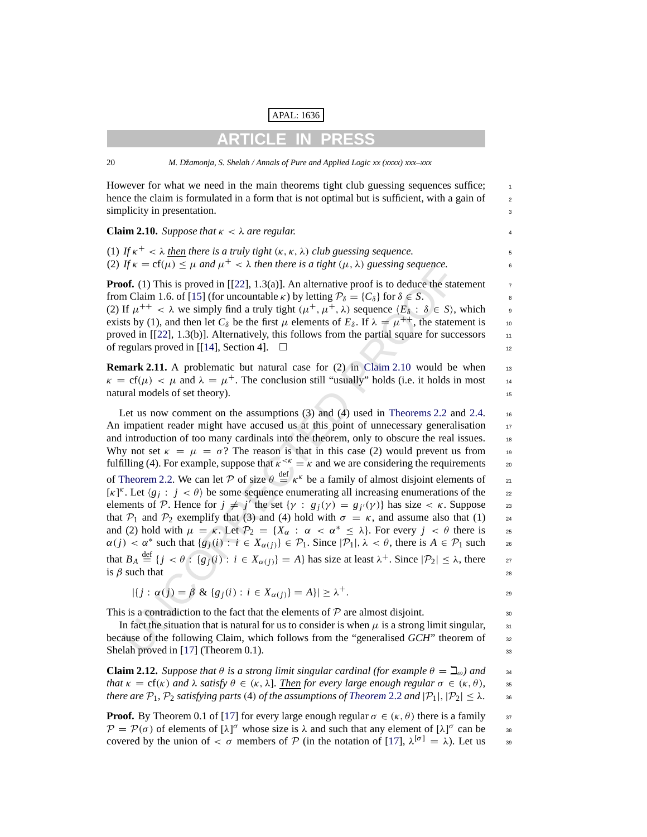

#### 20 *M. Džamonja, S. Shelah / Annals of Pure and Applied Logic xx (xxxx) xxx–xxx*

However for what we need in the main theorems tight club guessing sequences suffice;  $\frac{1}{2}$ hence the claim is formulated in a form that is not optimal but is sufficient, with a gain of  $\frac{2}{3}$ simplicity in presentation.

<span id="page-19-0"></span>**Claim 2.10.** *Suppose that*  $\kappa < \lambda$  *are regular.* 4

(1) *If*  $\kappa^+ < \lambda$  *then there is a truly tight* ( $\kappa, \kappa, \lambda$ ) *club guessing sequence.* (2) If  $\kappa = cf(\mu) \leq \mu$  and  $\mu^+ < \lambda$  then there is a tight  $(\mu, \lambda)$  guessing sequence.

**Proof.** (1) This is proved in  $[22]$ , 1.3(a)]. An alternative proof is to deduce the statement from Claim 1.6. of [15] (for uncountable  $\kappa$ ) by letting  $P_{\delta} = \{C_{\delta}\}\$ for  $\delta \in S$ . (2) If  $\mu^{++} < \lambda$  we simply find a truly tight  $(\mu^+, \mu^+, \lambda)$  sequence  $\langle E_\delta : \delta \in S \rangle$ , which 9 exists by (1), and then let  $C_{\delta}$  be the first  $\mu$  elements of  $E_{\delta}$ . If  $\lambda = \mu^{++}$ , the statement is proved in  $[22]$ , 1.3(b)]. Alternatively, this follows from the partial square for successors  $11$ of regulars proved in [[14], Section 4].  $\Box$  $\Box$ 

**Remark 2.11.** A problematic but natural case for  $(2)$  in Claim 2.10 would be when  $\frac{1}{3}$  $\kappa = cf(\mu) < \mu$  and  $\lambda = \mu^+$ . The conclusion still "usually" holds (i.e. it holds in most 14 natural models of set theory). 15

 $f(x) = \text{tr}(\mu) \leq \mu$  and  $\mu^+ < \lambda$  men mere is a right  $(\mu, \lambda)$  guessing sequence.<br> **of.** (1) This is proved in [[22], 1.3(a)]. An alternative proof is to deduce the sta<br>
In Claim 1.6. of [15] (for uncountable  $\kappa$ ) by le Let us now comment on the assumptions (3) and (4) used in Theorems 2.2 and [2.4.](#page-14-0)  $\frac{16}{6}$ An impatient reader might have accused us at this point of unnecessary generalisation  $17$ and introduction of too many cardinals into the theorem, only to obscure the real issues. <sup>18</sup> Why not set  $\kappa = \mu = \sigma$ ? The reason is that in this case (2) would prevent us from  $\eta$ fulfilling (4). For example, suppose that  $\kappa^{\lt k} = \kappa$  and we are considering the requirements 20 of [Theorem 2](#page-13-1).2. We can let *P* of size  $\theta \stackrel{\text{def}}{=} \kappa^k$  be a family of almost disjoint elements of 21 [ $\kappa$ ]<sup> $\kappa$ </sup>. Let  $\langle g_j : j < \theta \rangle$  be some sequence enumerating all increasing enumerations of the 22 elements of *P*. Hence for  $j \neq j'$  the set  $\{\gamma : g_j(\gamma) = g_{j'}(\gamma)\}$  has size  $\lt \kappa$ . Suppose 23 that  $P_1$  and  $P_2$  exemplify that (3) and (4) hold with  $\sigma = \kappa$ , and assume also that (1)  $\epsilon$ and (2) hold with  $\mu = \kappa$ . Let  $\mathcal{P}_2 = \{X_\alpha : \alpha < \alpha^* \leq \lambda\}$ . For every  $j < \theta$  there is 25  $\alpha(j) < \alpha^*$  such that  $\{g_j(i) : i \in X_{\alpha(j)}\} \in \mathcal{P}_1$ . Since  $|\mathcal{P}_1|, \lambda < \theta$ , there is  $A \in \mathcal{P}_1$  such 26 that  $B_A \stackrel{\text{def}}{=} \{j < \theta : \{g_j(i) : i \in X_{\alpha(j)}\} = A\}$  has size at least  $\lambda^+$ . Since  $|\mathcal{P}_2| \leq \lambda$ , there 27 is  $\beta$  such that 28

$$
|\{j : \alpha(j) = \beta \& \{g_j(i) : i \in X_{\alpha(j)}\} = A\}| \geq \lambda^+.
$$

This is a contradiction to the fact that the elements of  $P$  are almost disjoint.

In fact the situation that is natural for us to consider is when  $\mu$  is a strong limit singular,  $\frac{31}{21}$ because of the following Claim, which follows from the "generalised *GCH*" theorem of  $\frac{32}{2}$ Shelah proved in [17] (Theorem 0.1).

<span id="page-19-1"></span>**Claim 2.12.** *Suppose that*  $\theta$  *is a strong limit singular cardinal (for example*  $\theta = \mathbb{L}_{\omega}$ ) *and* 34 *that*  $\kappa = cf(\kappa)$  *and*  $\lambda$  *satisfy*  $\theta \in (\kappa, \lambda]$ *. Then for every large enough regular*  $\sigma \in (\kappa, \theta)$ *,* 35 *there are*  $P_1$ ,  $P_2$  *satisfying parts* (4) *of the assumptions of [Theorem](#page-13-1)* [2.2](#page-13-1) *and*  $|P_1|$ ,  $|P_2| \leq \lambda$ . 36

**Proof.** By Theorem 0.1 of [\[17\]](#page-22-18) for every large enough regular  $\sigma \in (\kappa, \theta)$  there is a family  $37$  $P = P(\sigma)$  of elements of  $[\lambda]^\sigma$  whose size is  $\lambda$  and such that any element of  $[\lambda]^\sigma$  can be covered by the union of  $\langle \sigma \rangle$  members of  $\mathcal P$  (in the notation of [\[17\]](#page-22-18),  $\lambda^{[\sigma]} = \lambda$ ). Let us  $\sim$  39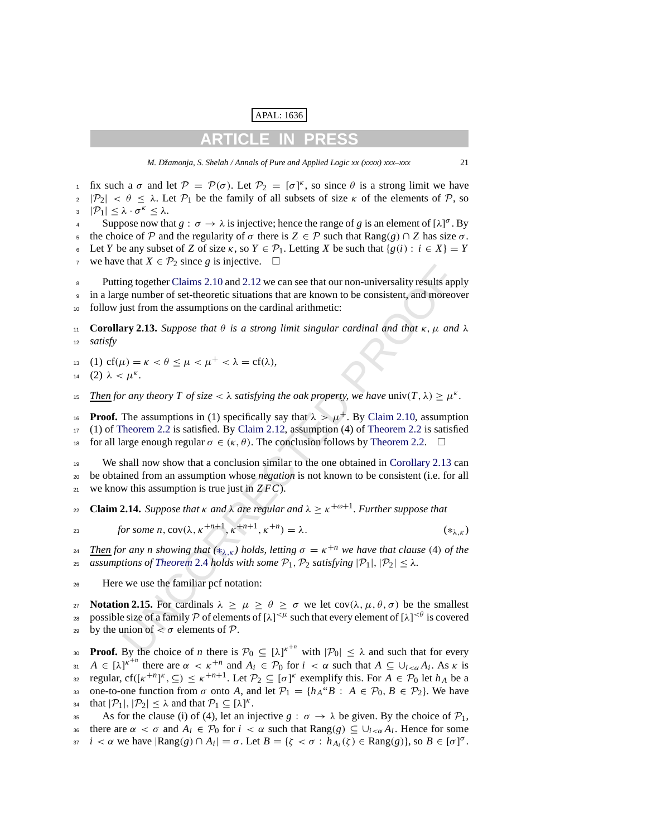## **ARTICLE**

*M. Džamonja, S. Shelah / Annals of Pure and Applied Logic xx (xxxx) xxx–xxx* 21

fix such a  $\sigma$  and let  $\mathcal{P} = \mathcal{P}(\sigma)$ . Let  $\mathcal{P}_2 = [\sigma]^k$ , so since  $\theta$  is a strong limit we have <sup>2</sup> |*P*2| < θ ≤ λ. Let *P*<sup>1</sup> be the family of all subsets of size κ of the elements of *P*, so  $|\mathcal{P}_1| \leq \lambda \cdot \sigma^k \leq \lambda.$ <br>4 Suppose now th

Suppose now that  $g : \sigma \to \lambda$  is injective; hence the range of *g* is an element of  $[\lambda]^\sigma$ . By 5 the choice of *P* and the regularity of  $\sigma$  there is  $Z \in \mathcal{P}$  such that  $\text{Rang}(g) \cap Z$  has size  $\sigma$ . 6 Let *Y* be any subset of *Z* of size *κ*, so *Y* ∈ *P*<sub>1</sub>. Letting *X* be such that {*g*(*i*) : *i* ∈ *X*} = *Y* we have that *X* ∈ *P*<sub>2</sub> since *p* is injective.  $\Box$ 

*γ* we have that *X*  $\in$  *P*<sub>2</sub> since *g* is injective.  $\Box$ 

8 Putting together Claims 2.10 and 2.12 we can see that our non-universality results apply <sup>9</sup> in a large number of set-theoretic situations that are known to be consistent, and moreover <sup>10</sup> follow just from the assumptions on the cardinal arithmetic:

<span id="page-20-0"></span>11 **Corollary 2.13.** Suppose that  $\theta$  is a strong limit singular cardinal and that  $\kappa$ ,  $\mu$  and  $\lambda$ <sup>12</sup> *satisfy*

(1) cf( $\mu$ ) =  $\kappa < \theta < \mu < \mu^+ < \lambda = cf(\lambda)$ ,

$$
14 \quad (2) \lambda < \mu^k.
$$

*Then for any theory T of size*  $\lt \lambda$  *satisfying the oak property, we have* univ(*T*,  $\lambda$ )  $\geq \mu^k$ .

In the [T](#page-19-1)aura Term of the state of the state of the state of the state of Equinomeric parameter Claims 2.10 and 2.12 we can see that our non-universality results appear the promotion of the assumptions on the cardinal ar <sup>16</sup> **Proof.** The assumptions in (1) specifically say that  $\lambda > \mu^+$ . By Claim 2.10, assumption <sup>17</sup> (1) of [Theorem 2](#page-13-1).2 is satisfied. By Claim 2.12, assumption (4) of Theorem 2.2 is satisfied 18 for all large enough regular  $\sigma \in (\kappa, \theta)$ . The conclusion follows by Theorem 2.2.  $\Box$ 

<sup>19</sup> We shall now show that a conclusion similar to the one obtained in Corollary 2.13 can <sup>20</sup> be obtained from an assumption whose *negation* is not known to be consistent (i.e. for all 21 we know this assumption is true just in  $ZFC$ ).

<span id="page-20-2"></span>**Claim 2.14.** *Suppose that*  $\kappa$  *and*  $\lambda$  *are regular and*  $\lambda \geq \kappa^{+\omega+1}$ *. Further suppose that* 

<span id="page-20-1"></span>
$$
for some n, \operatorname{cov}(\lambda, \kappa^{+n+1}, \kappa^{+n+1}, \kappa^{+n}) = \lambda. \tag{\ast}_{\lambda, \kappa}
$$

*z*4 *Then for any n showing that* (\*), *k*) *holds, letting*  $\sigma = \kappa^{+n}$  *we have that clause* (4) *of the* 25 *assumptions of Theorem 2.4 holds with some*  $P_1$ ,  $P_2$  *satisfying*  $|P_1|$ ,  $|P_2| \leq \lambda$ *.* 

<sup>26</sup> Here we use the familiar pcf notation:

**27 Notation 2.15.** For cardinals  $\lambda \geq \mu \geq \theta \geq \sigma$  we let cov( $\lambda, \mu, \theta, \sigma$ ) be the smallest possible size of a family  $P$  of elements of  $[\lambda]^{<\mu}$  such that every element of  $[\lambda]^{<\theta}$  is covered 29 by the union of  $< \sigma$  elements of  $\mathcal{P}$ .

**Proof.** By the choice of *n* there is  $P_0 \subseteq [\lambda]^{\kappa^{+n}}$  with  $|P_0| \leq \lambda$  and such that for every *A* ∈  $[\lambda]^{k^{+n}}$  there are  $\alpha < k^{+n}$  and  $A_i \in \mathcal{P}_0$  for  $i < \alpha$  such that  $A \subseteq \bigcup_{i < \alpha} A_i$ . As  $\kappa$  is regular, cf( $[\kappa^{+n}]^{\kappa}$ ,  $\subseteq$ )  $\leq \kappa^{+n+1}$ . Let  $\mathcal{P}_2 \subseteq [\sigma]^{\kappa}$  exemplify this. For  $A \in \mathcal{P}_0$  let  $h_A$  be a 33 one-to-one function from  $\sigma$  onto A, and let  $\mathcal{P}_1 = \{h_A \cap B : A \in \mathcal{P}_0, B \in \mathcal{P}_2\}$ . We have that  $|\mathcal{P}_1|, |\mathcal{P}_2| \leq \lambda$  and that  $\mathcal{P}_1 \subseteq [\lambda]^k$ .

35 As for the clause (i) of (4), let an injective  $g : \sigma \to \lambda$  be given. By the choice of  $\mathcal{P}_1$ , there are  $\alpha < \sigma$  and  $A_i \in \mathcal{P}_0$  for  $i < \alpha$  such that  $\text{Rang}(g) \subseteq \bigcup_{i < \alpha} A_i$ . Hence for some  $i < \alpha$  we have  $|\text{Rang}(g) \cap A_i| = \sigma$ . Let  $B = \{ \zeta < \sigma : h_A(\zeta) \in \text{Rang}(g) \}$ , so  $B \in [\sigma]^{\sigma}$ . *i* < *α* we have  $|Range(g) ∩ A_i| = σ$ . Let  $B = \{ζ < σ : h_{A_i}(ζ) \in Range(g)\}$ , so  $B ∈ [σ]<sup>σ</sup>$ .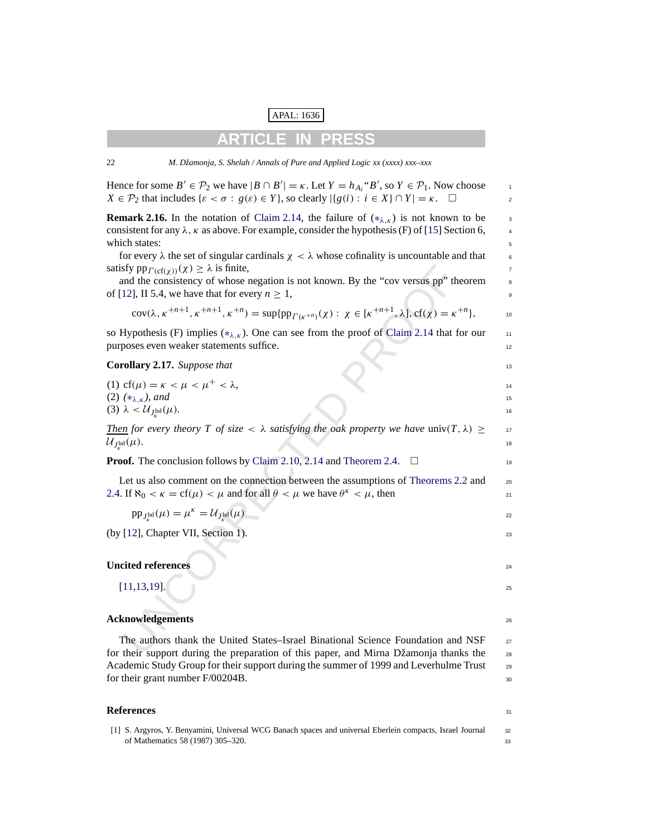### **ARTICLE**

22 *M. Džamonja, S. Shelah / Annals of Pure and Applied Logic xx (xxxx) xxx–xxx*

sfy pp $\Gamma$ <sub>(ef(x)</sub>)( $\chi$ )  $\geq \lambda$  is finite,<br>
and the consistency of whose negation is not known. By the "cov versus pp" if<br>
12], II 5.4, we have that for every  $n \geq 1$ ,<br>  $\text{cov}(\lambda, \kappa^{+n+1}, \kappa^{+n+1}, \kappa^{+n}) = \text{sup}[\text{pp}_{\Gamma(\k$ Hence for some  $B' \in \mathcal{P}_2$  we have  $|B \cap B'| = \kappa$ . Let  $Y = h_{A_i}$  " $B'$ , so  $Y \in \mathcal{P}_1$ . Now choose  $X \in \mathcal{P}_2$  that includes  $\{\varepsilon < \sigma : g(\varepsilon) \in Y\}$ , so clearly  $|\{g(i) : i \in X\} \cap Y| = \kappa$ .  $\square$ **Remark 2.16.** In the notation of [Claim 2.14,](#page-20-2) the failure of  $(*_{\lambda,K})$  is not known to be  $\infty$ consistent for any  $\lambda$ ,  $\kappa$  as above. For example, consider the hypothesis (F) of [\[15\]](#page-22-13) Section 6, 4 which states:  $\frac{5}{5}$ for every  $\lambda$  the set of singular cardinals  $\chi < \lambda$  whose cofinality is uncountable and that 6 satisfy  $pp_{\Gamma(\text{cf}(\chi))}(\chi) \geq \lambda$  is finite, and the consistency of whose negation is not known. By the "cov versus pp" theorem of [12], II 5.4, we have that for every  $n \geq 1$ , cov( $\lambda, \kappa^{+n+1}, \kappa^{+n+1}, \kappa^{+n}$ ) = sup{pp<sub> $\Gamma(\kappa^{+n})$ </sub>( $\chi$ ) :  $\chi \in [\kappa^{+n+1}, \lambda]$ , cf( $\chi$ ) =  $\kappa^{+n}$ }, 100 so Hypothesis (F) implies (\*<sub>λ,κ</sub>). One can see from the proof of Claim 2.14 that for our 11 purposes even weaker statements suffice. 12 **Corollary 2.17.** *Suppose that* 13 (1) cf( $\mu$ ) =  $\kappa < \mu < \mu^+ < \lambda$ ,  $(2)$   $(*_{\lambda,k})$ *, and* 15 (3)  $\lambda < \mathcal{U}_{J_{\alpha}^{\text{bd}}}(\mu)$ .  $\sum_{k=1}^{n}$  ( $\mu$ ). *Then for every theory T of size*  $\lt \lambda$  *satisfying the oak property we have* univ( $T, \lambda$ )  $\geq$  17  $\mathcal{U}_{J^{bd}}(\mu)$ .  $\mathcal{L}_{\kappa}^{\text{bd}}(\mu).$ **Proof.** The conclusion follows by Claim 2.10, 2.14 and Theorem 2.4.  $\Box$  $\Box$ Let us also comment on the connection between the assumptions of Theorems [2.2](#page-13-1) and  $\qquad$  20 [2.4.](#page-14-0) If  $\aleph_0 < \kappa = \text{cf}(\mu) < \mu$  and for all  $\theta < \mu$  we have  $\theta^k < \mu$ , then  $\text{pp}_{J_{\kappa}^{\text{bd}}}(\mu) = \mu^{\kappa} = \mathcal{U}_{J_{\kappa}^{\text{bd}}}$  $\chi_{K}^{\text{bd}}(\mu)$  22 (by [12], Chapter VII, Section 1). <sup>23</sup> **Uncited references** <sup>24</sup>  $[11,13,19]$ . **Acknowledgements** <sup>26</sup> The authors thank the United States–Israel Binational Science Foundation and NSF 27 for their support during the preparation of this paper, and Mirna Džamonja thanks the 28 Academic Study Group for their support during the summer of 1999 and Leverhulme Trust <sub>29</sub> for their grant number F/00204B.  $30\frac{1}{2}$  solutions are not as a set of their grant number F/00204B. **References** 31 [1] S. Argyros, Y. Benyamini, Universal WCG Banach spaces and universal Eberlein compacts, Israel Journal <sup>32</sup>

<span id="page-21-0"></span>of Mathematics 58 (1987) 305–320. <sup>33</sup>